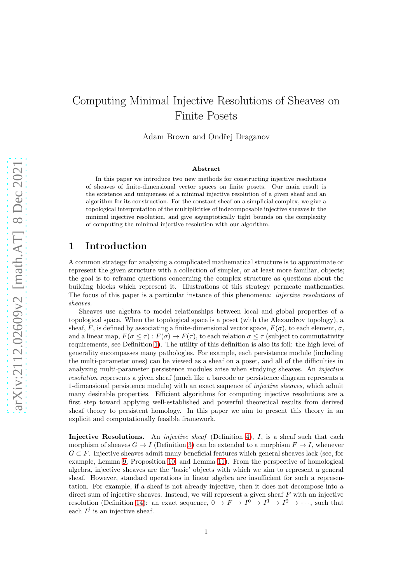# Computing Minimal Injective Resolutions of Sheaves on Finite Posets

Adam Brown and Ondřej Draganov

#### Abstract

In this paper we introduce two new methods for constructing injective resolutions of sheaves of finite-dimensional vector spaces on finite posets. Our main result is the existence and uniqueness of a minimal injective resolution of a given sheaf and an algorithm for its construction. For the constant sheaf on a simplicial complex, we give a topological interpretation of the multiplicities of indecomposable injective sheaves in the minimal injective resolution, and give asymptotically tight bounds on the complexity of computing the minimal injective resolution with our algorithm.

# 1 Introduction

A common strategy for analyzing a complicated mathematical structure is to approximate or represent the given structure with a collection of simpler, or at least more familiar, objects; the goal is to reframe questions concerning the complex structure as questions about the building blocks which represent it. Illustrations of this strategy permeate mathematics. The focus of this paper is a particular instance of this phenomena: *injective resolutions* of sheaves.

Sheaves use algebra to model relationships between local and global properties of a topological space. When the topological space is a poset (with the Alexandrov topology), a sheaf, F, is defined by associating a finite-dimensional vector space,  $F(\sigma)$ , to each element,  $\sigma$ , and a linear map,  $F(\sigma \leq \tau) : F(\sigma) \to F(\tau)$ , to each relation  $\sigma \leq \tau$  (subject to commutativity requirements, see Definition [1\)](#page-2-0). The utility of this definition is also its foil: the high level of generality encompasses many pathologies. For example, each persistence module (including the multi-parameter ones) can be viewed as a sheaf on a poset, and all of the difficulties in analyzing multi-parameter persistence modules arise when studying sheaves. An injective resolution represents a given sheaf (much like a barcode or persistence diagram represents a 1-dimensional persistence module) with an exact sequence of injective sheaves, which admit many desirable properties. Efficient algorithms for computing injective resolutions are a first step toward applying well-established and powerful theoretical results from derived sheaf theory to persistent homology. In this paper we aim to present this theory in an explicit and computationally feasible framework.

Injective Resolutions. An *injective sheaf* (Definition [4\)](#page-2-1),  $I$ , is a sheaf such that each morphism of sheaves  $G \to I$  (Definition [3\)](#page-2-2) can be extended to a morphism  $F \to I$ , whenever  $G \subset F$ . Injective sheaves admit many beneficial features which general sheaves lack (see, for example, Lemma [9,](#page-4-0) Proposition [10,](#page-4-1) and Lemma [11\)](#page-5-0). From the perspective of homological algebra, injective sheaves are the 'basic' objects with which we aim to represent a general sheaf. However, standard operations in linear algebra are insufficient for such a representation. For example, if a sheaf is not already injective, then it does not decompose into a direct sum of injective sheaves. Instead, we will represent a given sheaf  $F$  with an injective resolution (Definition [14\)](#page-6-0): an exact sequence,  $0 \to F \to I^0 \to I^1 \to I^2 \to \cdots$ , such that each  $I^j$  is an injective sheaf.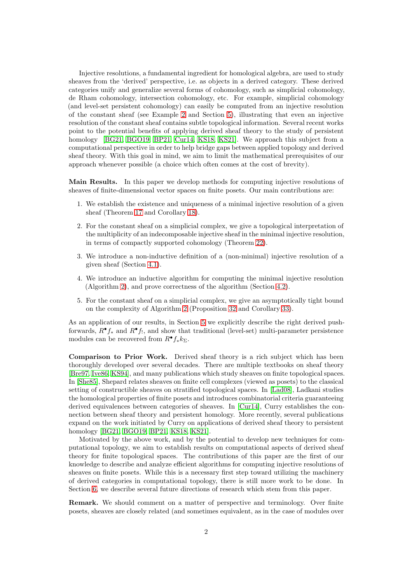Injective resolutions, a fundamental ingredient for homological algebra, are used to study sheaves from the 'derived' perspective, i.e. as objects in a derived category. These derived categories unify and generalize several forms of cohomology, such as simplicial cohomology, de Rham cohomology, intersection cohomology, etc. For example, simplicial cohomology (and level-set persistent cohomology) can easily be computed from an injective resolution of the constant sheaf (see Example [2](#page-2-3) and Section [5\)](#page-18-0), illustrating that even an injective resolution of the constant sheaf contains subtle topological information. Several recent works point to the potential benefits of applying derived sheaf theory to the study of persistent homology [\[BG21,](#page-21-0) [BGO19,](#page-21-1) [BP21,](#page-21-2) [Cur14,](#page-21-3) [KS18,](#page-21-4) [KS21\]](#page-21-5). We approach this subject from a computational perspective in order to help bridge gaps between applied topology and derived sheaf theory. With this goal in mind, we aim to limit the mathematical prerequisites of our approach whenever possible (a choice which often comes at the cost of brevity).

Main Results. In this paper we develop methods for computing injective resolutions of sheaves of finite-dimensional vector spaces on finite posets. Our main contributions are:

- 1. We establish the existence and uniqueness of a minimal injective resolution of a given sheaf (Theorem [17](#page-6-1) and Corollary [18\)](#page-8-0).
- 2. For the constant sheaf on a simplicial complex, we give a topological interpretation of the multiplicity of an indecomposable injective sheaf in the minimal injective resolution, in terms of compactly supported cohomology (Theorem [22\)](#page-9-0).
- 3. We introduce a non-inductive definition of a (non-minimal) injective resolution of a given sheaf (Section [4.1\)](#page-10-0).
- 4. We introduce an inductive algorithm for computing the minimal injective resolution (Algorithm [2\)](#page-13-0), and prove correctness of the algorithm (Section [4.2\)](#page-11-0).
- 5. For the constant sheaf on a simplicial complex, we give an asymptotically tight bound on the complexity of Algorithm [2](#page-13-0) (Proposition [32](#page-17-0) and Corollary [33\)](#page-18-1).

As an application of our results, in Section [5](#page-18-0) we explicitly describe the right derived pushforwards,  $R^{\bullet} f_*$  and  $R^{\bullet} f_!,$  and show that traditional (level-set) multi-parameter persistence modules can be recovered from  $R^{\bullet} f_{*} k_{\Sigma}$ .

Comparison to Prior Work. Derived sheaf theory is a rich subject which has been thoroughly developed over several decades. There are multiple textbooks on sheaf theory [\[Bre97,](#page-21-6) [Ive86,](#page-21-7) [KS94\]](#page-21-8), and many publications which study sheaves on finite topological spaces. In [\[She85\]](#page-22-0), Shepard relates sheaves on finite cell complexes (viewed as posets) to the classical setting of constructible sheaves on stratified topological spaces. In [\[Lad08\]](#page-22-1), Ladkani studies the homological properties of finite posets and introduces combinatorial criteria guaranteeing derived equivalences between categories of sheaves. In [\[Cur14\]](#page-21-3), Curry establishes the connection between sheaf theory and persistent homology. More recently, several publications expand on the work initiated by Curry on applications of derived sheaf theory to persistent homology [\[BG21,](#page-21-0) [BGO19,](#page-21-1) [BP21,](#page-21-2) [KS18,](#page-21-4) [KS21\]](#page-21-5).

Motivated by the above work, and by the potential to develop new techniques for computational topology, we aim to establish results on computational aspects of derived sheaf theory for finite topological spaces. The contributions of this paper are the first of our knowledge to describe and analyze efficient algorithms for computing injective resolutions of sheaves on finite posets. While this is a necessary first step toward utilizing the machinery of derived categories in computational topology, there is still more work to be done. In Section [6,](#page-20-0) we describe several future directions of research which stem from this paper.

Remark. We should comment on a matter of perspective and terminology. Over finite posets, sheaves are closely related (and sometimes equivalent, as in the case of modules over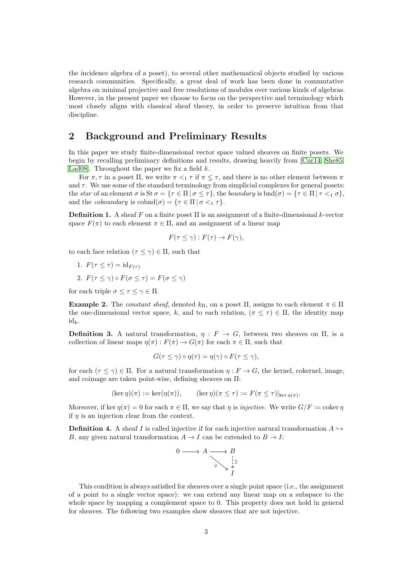the incidence algebra of a poset), to several other mathematical objects studied by various research communities. Specifically, a great deal of work has been done in commutative algebra on minimal projective and free resolutions of modules over various kinds of algebras. However, in the present paper we choose to focus on the perspective and terminology which most closely aligns with classical sheaf theory, in order to preserve intuition from that discipline.

# 2 Background and Preliminary Results

In this paper we study finite-dimensional vector space valued sheaves on finite posets. We begin by recalling preliminary definitions and results, drawing heavily from [\[Cur14,](#page-21-3) [She85,](#page-22-0) Lad08. Throughout the paper we fix a field  $k$ .

For  $\pi, \tau$  in a poset  $\Pi$ , we write  $\pi \leq_1 \tau$  if  $\pi \leq \tau$ , and there is no other element between  $\pi$ and  $\tau$ . We use some of the standard terminology from simplicial complexes for general posets: the star of an element  $\sigma$  is  $\text{St } \sigma = \{\tau \in \Pi \mid \sigma \leq \tau\},\$  the boundary is  $\text{bnd}(\sigma) = \{\tau \in \Pi \mid \tau \leq 1 \sigma\},\$ and the *coboundary* is  $\text{cobond}(\sigma) = {\tau \in \Pi | \sigma \leq_1 \tau}.$ 

<span id="page-2-0"></span>**Definition 1.** A sheaf F on a finite poset  $\Pi$  is an assignment of a finite-dimensional k-vector space  $F(\pi)$  to each element  $\pi \in \Pi$ , and an assignment of a linear map

$$
F(\tau \le \gamma) : F(\tau) \to F(\gamma),
$$

to each face relation  $(\tau \leq \gamma) \in \Pi$ , such that

- 1.  $F(\tau \leq \tau) = \mathrm{id}_{F(\tau)}$
- 2.  $F(\tau \leq \gamma) \circ F(\sigma \leq \tau) = F(\sigma \leq \gamma)$

for each triple  $\sigma \leq \tau \leq \gamma \in \Pi$ .

<span id="page-2-3"></span>Example 2. The constant sheaf, denoted  $k_{\Pi}$ , on a poset  $\Pi$ , assigns to each element  $\pi \in \Pi$ the one-dimensional vector space, k, and to each relation,  $(\pi \leq \tau) \in \Pi$ , the identity map  $id_k$ .

<span id="page-2-2"></span>**Definition 3.** A natural transformation,  $\eta : F \to G$ , between two sheaves on  $\Pi$ , is a collection of linear maps  $\eta(\pi): F(\pi) \to G(\pi)$  for each  $\pi \in \Pi$ , such that

$$
G(\tau \le \gamma) \circ \eta(\tau) = \eta(\gamma) \circ F(\tau \le \gamma),
$$

for each  $(\tau \leq \gamma) \in \Pi$ . For a natural transformation  $\eta : F \to G$ , the kernel, cokernel, image, and coimage are taken point-wise, defining sheaves on Π:

$$
(\ker \eta)(\pi) := \ker(\eta(\pi)), \qquad (\ker \eta)(\pi \le \tau) := F(\pi \le \tau)|_{\ker \eta(\pi)}.
$$

Moreover, if ker  $n(\pi) = 0$  for each  $\pi \in \Pi$ , we say that n is *injective*. We write  $G/F = \text{coker } n$ if  $n$  is an injection clear from the context.

<span id="page-2-1"></span>**Definition 4.** A sheaf I is called injective if for each injective natural transformation  $A \rightarrow$ B, any given natural transformation  $A \to I$  can be extended to  $B \to I$ :

$$
0 \longrightarrow A \underset{\forall \searrow \searrow} \longrightarrow B
$$

This condition is always satisfied for sheaves over a single point space (i.e., the assignment of a point to a single vector space): we can extend any linear map on a subspace to the whole space by mapping a complement space to 0. This property does not hold in general for sheaves. The following two examples show sheaves that are not injective.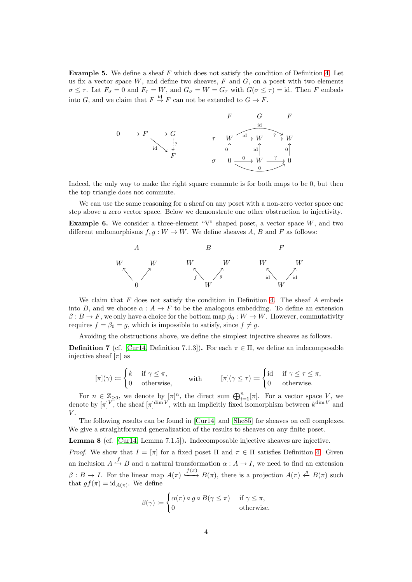Example 5. We define a sheaf F which does not satisfy the condition of Definition [4.](#page-2-1) Let us fix a vector space  $W$ , and define two sheaves,  $F$  and  $G$ , on a poset with two elements  $\sigma \leq \tau$ . Let  $F_{\sigma} = 0$  and  $F_{\tau} = W$ , and  $G_{\sigma} = W = G_{\tau}$  with  $G(\sigma \leq \tau) = id$ . Then F embeds into G, and we claim that  $F \stackrel{\text{id}}{\rightarrow} F$  can not be extended to  $G \rightarrow F$ .



Indeed, the only way to make the right square commute is for both maps to be 0, but then the top triangle does not commute.

We can use the same reasoning for a sheaf on any poset with a non-zero vector space one step above a zero vector space. Below we demonstrate one other obstruction to injectivity.

**Example 6.** We consider a three-element "V" shaped poset, a vector space  $W$ , and two different endomorphisms  $f, g : W \to W$ . We define sheaves A, B and F as follows:



We claim that  $F$  does not satisfy the condition in Definition [4.](#page-2-1) The sheaf  $A$  embeds into B, and we choose  $\alpha: A \to F$  to be the analogous embedding. To define an extension  $\beta: B \to F$ , we only have a choice for the bottom map  $\beta_0: W \to W$ . However, commutativity requires  $f = \beta_0 = g$ , which is impossible to satisfy, since  $f \neq g$ .

Avoiding the obstructions above, we define the simplest injective sheaves as follows.

<span id="page-3-0"></span>**Definition 7** (cf. [\[Cur14,](#page-21-3) Definition 7.1.3]). For each  $\pi \in \Pi$ , we define an indecomposable injective sheaf  $[\pi]$  as

$$
[\pi](\gamma) \coloneqq \begin{cases} k & \text{if } \gamma \leq \pi, \\ 0 & \text{otherwise,} \end{cases} \qquad \text{with} \qquad [\pi](\gamma \leq \tau) \coloneqq \begin{cases} \text{id} & \text{if } \gamma \leq \tau \leq \pi, \\ 0 & \text{otherwise.} \end{cases}
$$

For  $n \in \mathbb{Z}_{\geq 0}$ , we denote by  $[\pi]^n$ , the direct sum  $\bigoplus_{i=1}^n [\pi]$ . For a vector space V, we denote by  $[\pi]^{V}$ , the sheaf  $[\pi]^{dim V}$ , with an implicitly fixed isomorphism between  $k^{\dim V}$  and  $V$ .

The following results can be found in [\[Cur14\]](#page-21-3) and [\[She85\]](#page-22-0) for sheaves on cell complexes. We give a straightforward generalization of the results to sheaves on any finite poset.

<span id="page-3-1"></span>Lemma 8 (cf. [\[Cur14,](#page-21-3) Lemma 7.1.5]). Indecomposable injective sheaves are injective.

*Proof.* We show that  $I = [\pi]$  for a fixed poset  $\Pi$  and  $\pi \in \Pi$  satisfies Definition [4.](#page-2-1) Given an inclusion  $A \stackrel{f}{\hookrightarrow} B$  and a natural transformation  $\alpha : A \to I$ , we need to find an extension  $\beta: B \to I$ . For the linear map  $A(\pi) \stackrel{f(\pi)}{\longleftrightarrow} B(\pi)$ , there is a projection  $A(\pi) \stackrel{g}{\leftarrow} B(\pi)$  such that  $gf(\pi) = id_{A(\pi)}$ . We define

$$
\beta(\gamma) := \begin{cases} \alpha(\pi) \circ g \circ B(\gamma \le \pi) & \text{if } \gamma \le \pi, \\ 0 & \text{otherwise.} \end{cases}
$$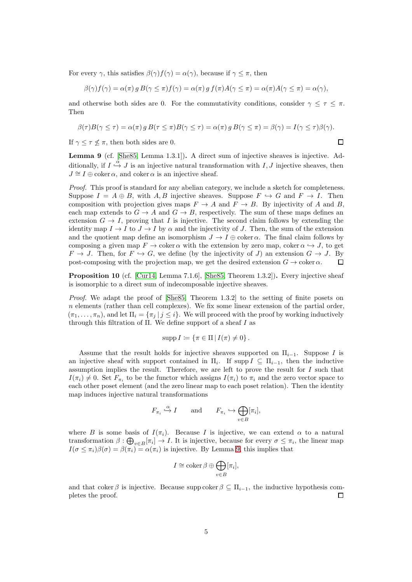For every  $\gamma$ , this satisfies  $\beta(\gamma) f(\gamma) = \alpha(\gamma)$ , because if  $\gamma \leq \pi$ , then

$$
\beta(\gamma)f(\gamma) = \alpha(\pi) g B(\gamma \leq \pi) f(\gamma) = \alpha(\pi) g f(\pi) A(\gamma \leq \pi) = \alpha(\pi) A(\gamma \leq \pi) = \alpha(\gamma),
$$

and otherwise both sides are 0. For the commutativity conditions, consider  $\gamma \leq \tau \leq \pi$ . Then

$$
\beta(\tau)B(\gamma \leq \tau) = \alpha(\pi) g B(\tau \leq \pi)B(\gamma \leq \tau) = \alpha(\pi) g B(\gamma \leq \pi) = \beta(\gamma) = I(\gamma \leq \tau)\beta(\gamma).
$$

If  $\gamma \leq \tau \leq \pi$ , then both sides are 0.

<span id="page-4-0"></span>Lemma 9 (cf. [\[She85,](#page-22-0) Lemma 1.3.1]). A direct sum of injective sheaves is injective. Additionally, if  $I \stackrel{\alpha}{\hookrightarrow} J$  is an injective natural transformation with  $I, J$  injective sheaves, then  $J \cong I \oplus \text{coker}\,\alpha$ , and coker  $\alpha$  is an injective sheaf.

Proof. This proof is standard for any abelian category, we include a sketch for completeness. Suppose  $I = A \oplus B$ , with A, B injective sheaves. Suppose  $F \hookrightarrow G$  and  $F \to I$ . Then composition with projection gives maps  $F \to A$  and  $F \to B$ . By injectivity of A and B, each map extends to  $G \to A$  and  $G \to B$ , respectively. The sum of these maps defines an extension  $G \to I$ , proving that I is injective. The second claim follows by extending the identity map  $I \to I$  to  $J \to I$  by  $\alpha$  and the injectivity of J. Then, the sum of the extension and the quotient map define an isomorphism  $J \to I \oplus \text{coker}\,\alpha$ . The final claim follows by composing a given map  $F \to \text{coker }\alpha$  with the extension by zero map, coker  $\alpha \leftrightarrow J$ , to get  $F \to J$ . Then, for  $F \hookrightarrow G$ , we define (by the injectivity of J) an extension  $G \to J$ . By post-composing with the projection map, we get the desired extension  $G \to \text{coker } \alpha$ .  $\Box$ 

<span id="page-4-1"></span>**Proposition 10** (cf. [\[Cur14,](#page-21-3) Lemma 7.1.6], [\[She85,](#page-22-0) Theorem 1.3.2]). Every injective sheaf is isomorphic to a direct sum of indecomposable injective sheaves.

Proof. We adapt the proof of [\[She85,](#page-22-0) Theorem 1.3.2] to the setting of finite posets on  $n$  elements (rather than cell complexes). We fix some linear extension of the partial order,  $(\pi_1, \ldots, \pi_n)$ , and let  $\Pi_i = {\{\pi_i \mid j \leq i\}}$ . We will proceed with the proof by working inductively through this filtration of  $\Pi$ . We define support of a sheaf I as

$$
\operatorname{supp} I \coloneqq \{ \pi \in \Pi \, | \, I(\pi) \neq 0 \} \, .
$$

Assume that the result holds for injective sheaves supported on  $\Pi_{i-1}$ . Suppose I is an injective sheaf with support contained in  $\Pi_i$ . If supp  $I \subseteq \Pi_{i-1}$ , then the inductive assumption implies the result. Therefore, we are left to prove the result for  $I$  such that  $I(\pi_i) \neq 0$ . Set  $F_{\pi_i}$  to be the functor which assigns  $I(\pi_i)$  to  $\pi_i$  and the zero vector space to each other poset element (and the zero linear map to each poset relation). Then the identity map induces injective natural transformations

$$
F_{\pi_i} \xrightarrow{\alpha} I
$$
 and  $F_{\pi_i} \hookrightarrow \bigoplus_{v \in B} [\pi_i],$ 

where B is some basis of  $I(\pi_i)$ . Because I is injective, we can extend  $\alpha$  to a natural transformation  $\beta$ :  $\bigoplus_{v\in B} [\pi_i] \to I$ . It is injective, because for every  $\sigma \leq \pi_i$ , the linear map  $I(\sigma \leq \pi_i)\beta(\sigma) = \beta(\pi_i) = \alpha(\pi_i)$  is injective. By Lemma [9,](#page-4-0) this implies that

$$
I \cong \operatorname{coker} \beta \oplus \bigoplus_{v \in B} [\pi_i],
$$

and that coker  $\beta$  is injective. Because supp coker  $\beta \subseteq \Pi_{i-1}$ , the inductive hypothesis completes the proof. □

 $\Box$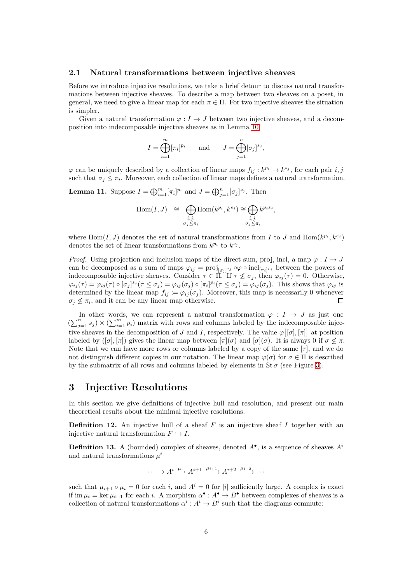### <span id="page-5-1"></span>2.1 Natural transformations between injective sheaves

Before we introduce injective resolutions, we take a brief detour to discuss natural transformations between injective sheaves. To describe a map between two sheaves on a poset, in general, we need to give a linear map for each  $\pi \in \Pi$ . For two injective sheaves the situation is simpler.

Given a natural transformation  $\varphi: I \to J$  between two injective sheaves, and a decomposition into indecomposable injective sheaves as in Lemma [10,](#page-4-1)

$$
I = \bigoplus_{i=1}^m [\pi_i]^{p_i} \quad \text{and} \quad J = \bigoplus_{j=1}^n [\sigma_j]^{s_j},
$$

 $\varphi$  can be uniquely described by a collection of linear maps  $f_{ij}: k^{p_i} \to k^{s_j}$ , for each pair i, j such that  $\sigma_j \leq \pi_i$ . Moreover, each collection of linear maps defines a natural transformation.

<span id="page-5-0"></span>**Lemma 11.** Suppose  $I = \bigoplus_{i=1}^{m} [\pi_i]^{p_i}$  and  $J = \bigoplus_{j=1}^{n} [\sigma_j]^{s_j}$ . Then

$$
\text{Hom}(I, J) \quad \cong \quad \bigoplus_{\substack{i,j:\\ \sigma_j \leq \pi_i}} \text{Hom}(k^{p_i}, k^{s_j}) \cong \bigoplus_{\substack{i,j:\\ \sigma_j \leq \pi_i}} k^{p_i s_j},
$$

where Hom $(I, J)$  denotes the set of natural transformations from I to J and Hom $(k^{p_i}, k^{s_j})$ denotes the set of linear transformations from  $k^{p_i}$  to  $k^{s_j}$ .

*Proof.* Using projection and inclusion maps of the direct sum, proj, incl, a map  $\varphi: I \to J$ can be decomposed as a sum of maps  $\varphi_{ij} = \text{proj}_{[\sigma_j]^{s_j}} \circ \varphi \circ \text{incl}_{[\pi_i]^{p_i}}$  between the powers of indecomposable injective sheaves. Consider  $\tau \in \Pi$ . If  $\tau \nleq \sigma_j$ , then  $\varphi_{ij}(\tau) = 0$ . Otherwise,  $\varphi_{ij}(\tau) = \varphi_{ij}(\tau) \circ [\sigma_j]^{s_j} (\tau \leq \sigma_j) = \varphi_{ij}(\sigma_j) \circ [\pi_i]^{p_i} (\tau \leq \sigma_j) = \varphi_{ij}(\sigma_j)$ . This shows that  $\varphi_{ij}$  is determined by the linear map  $f_{ij} := \varphi_{ij}(\sigma_j)$ . Moreover, this map is necessarily 0 whenever  $\Box$  $\sigma_j \nleq \pi_i$ , and it can be any linear map otherwise.

In other words, we can represent a natural transformation  $\varphi : I \to J$  as just one  $(\sum_{j=1}^n s_j) \times (\sum_{i=1}^m p_i)$  matrix with rows and columns labeled by the indecomposable injective sheaves in the decomposition of J and I, respectively. The value  $\varphi [ [\sigma], [\pi] ]$  at position labeled by  $([\sigma], [\pi])$  gives the linear map between  $[\pi](\sigma)$  and  $[\sigma](\sigma)$ . It is always 0 if  $\sigma \nleq \pi$ . Note that we can have more rows or columns labeled by a copy of the same  $[\tau]$ , and we do not distinguish different copies in our notation. The linear map  $\varphi(\sigma)$  for  $\sigma \in \Pi$  is described by the submatrix of all rows and columns labeled by elements in  $St\sigma$  (see Figure [3\)](#page-16-0).

# 3 Injective Resolutions

In this section we give definitions of injective hull and resolution, and present our main theoretical results about the minimal injective resolutions.

**Definition 12.** An injective hull of a sheaf  $F$  is an injective sheaf  $I$  together with an injective natural transformation  $F \hookrightarrow I$ .

**Definition 13.** A (bounded) complex of sheaves, denoted  $A^{\bullet}$ , is a sequence of sheaves  $A^i$ and natural transformations  $\mu^i$ 

$$
\cdots \to A^i \xrightarrow{\mu_i} A^{i+1} \xrightarrow{\mu_{i+1}} A^{i+2} \xrightarrow{\mu_{i+2}} \cdots
$$

such that  $\mu_{i+1} \circ \mu_i = 0$  for each i, and  $A^i = 0$  for |i| sufficiently large. A complex is exact if im  $\mu_i = \ker \mu_{i+1}$  for each i. A morphism  $\alpha^{\bullet} : A^{\bullet} \to B^{\bullet}$  between complexes of sheaves is a collection of natural transformations  $\alpha^i : A^i \to B^i$  such that the diagrams commute: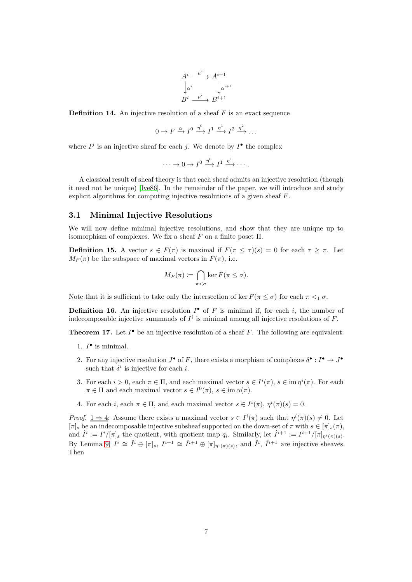$$
A^i \xrightarrow{\mu^i} A^{i+1}
$$

$$
\downarrow^{\alpha^i} \qquad \downarrow^{\alpha^{i+1}}
$$

$$
B^i \xrightarrow{\nu^i} B^{i+1}
$$

<span id="page-6-0"></span>**Definition 14.** An injective resolution of a sheaf  $F$  is an exact sequence

$$
0 \to F \xrightarrow{\alpha} I^0 \xrightarrow{\eta^0} I^1 \xrightarrow{\eta^1} I^2 \xrightarrow{\eta^2} \dots
$$

where  $I^j$  is an injective sheaf for each j. We denote by  $I^{\bullet}$  the complex

$$
\cdots \to 0 \to I^0 \xrightarrow{\eta^0} I^1 \xrightarrow{\eta^1} \cdots.
$$

A classical result of sheaf theory is that each sheaf admits an injective resolution (though it need not be unique) [\[Ive86\]](#page-21-7). In the remainder of the paper, we will introduce and study explicit algorithms for computing injective resolutions of a given sheaf F.

### 3.1 Minimal Injective Resolutions

We will now define minimal injective resolutions, and show that they are unique up to isomorphism of complexes. We fix a sheaf  $F$  on a finite poset  $\Pi$ .

<span id="page-6-2"></span>**Definition 15.** A vector  $s \in F(\pi)$  is maximal if  $F(\pi \leq \tau)(s) = 0$  for each  $\tau \geq \pi$ . Let  $M_F(\pi)$  be the subspace of maximal vectors in  $F(\pi)$ , i.e.

$$
M_F(\pi) := \bigcap_{\pi < \sigma} \ker F(\pi \le \sigma).
$$

Note that it is sufficient to take only the intersection of ker  $F(\pi \leq \sigma)$  for each  $\pi \leq_1 \sigma$ .

**Definition 16.** An injective resolution  $I^{\bullet}$  of F is minimal if, for each i, the number of indecomposable injective summands of  $I^i$  is minimal among all injective resolutions of  $F$ .

<span id="page-6-1"></span>**Theorem 17.** Let  $I^{\bullet}$  be an injective resolution of a sheaf F. The following are equivalent:

- 1.  $I^{\bullet}$  is minimal.
- 2. For any injective resolution  $J^{\bullet}$  of F, there exists a morphism of complexes  $\delta^{\bullet}: I^{\bullet} \to J^{\bullet}$ such that  $\delta^i$  is injective for each *i*.
- 3. For each  $i > 0$ , each  $\pi \in \Pi$ , and each maximal vector  $s \in I^i(\pi)$ ,  $s \in \text{im } \eta^i(\pi)$ . For each  $\pi \in \Pi$  and each maximal vector  $s \in I^0(\pi)$ ,  $s \in \text{im } \alpha(\pi)$ .
- 4. For each i, each  $\pi \in \Pi$ , and each maximal vector  $s \in I^i(\pi)$ ,  $\eta^i(\pi)(s) = 0$ .

*Proof.*  $1 \Rightarrow 4$ : Assume there exists a maximal vector  $s \in I^i(\pi)$  such that  $\eta^i(\pi)(s) \neq 0$ . Let  $[\pi]_s$  be an indecomposable injective subsheaf supported on the down-set of  $\pi$  with  $s \in [\pi]_s(\pi)$ , and  $\hat{I}^i := I^i/[\pi]_s$  the quotient, with quotient map  $q_i$ . Similarly, let  $\hat{I}^{i+1} := I^{i+1}/[\pi]_{\eta^i(\pi)(s)}$ . By Lemma [9,](#page-4-0)  $I^i \cong \hat{I}^i \oplus [\pi]_s$ ,  $I^{i+1} \cong \hat{I}^{i+1} \oplus [\pi]_{\eta^i(\pi)(s)}$ , and  $\hat{I}^i$ ,  $\hat{I}^{i+1}$  are injective sheaves. Then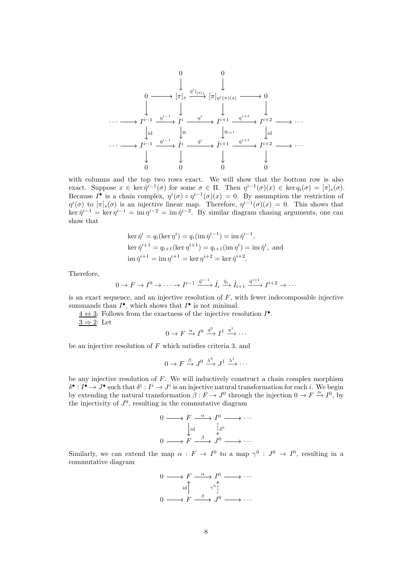

with columns and the top two rows exact. We will show that the bottom row is also exact. Suppose  $x \in \text{ker } \hat{\eta}^{i-1}(\sigma)$  for some  $\sigma \in \Pi$ . Then  $\eta^{i-1}(\sigma)(x) \in \text{ker } q_i(\sigma) = [\pi]_s(\sigma)$ . Because  $I^{\bullet}$  is a chain complex,  $\eta^{i}(\sigma) \circ \eta^{i-1}(\sigma)(x) = 0$ . By assumption the restriction of  $\eta^{i}(\sigma)$  to  $[\pi]_s(\sigma)$  is an injective linear map. Therefore,  $\eta^{i-1}(\sigma)(x) = 0$ . This shows that  $\ker \hat{\eta}^{i-1} = \ker \eta^{i-1} = \operatorname{im} \eta^{i-2} = \operatorname{im} \hat{\eta}^{i-2}$ . By similar diagram chasing arguments, one can show that

$$
\ker \hat{\eta}^i = q_i(\ker \eta^i) = q_i(\operatorname{im} \eta^{i-1}) = \operatorname{im} \hat{\eta}^{i-1},
$$
  
\n
$$
\ker \hat{\eta}^{i+1} = q_{i+1}(\ker \eta^{i+1}) = q_{i+1}(\operatorname{im} \eta^i) = \operatorname{im} \hat{\eta}^i, \text{ and}
$$
  
\n
$$
\operatorname{im} \hat{\eta}^{i+1} = \operatorname{im} \eta^{i+1} = \ker \eta^{i+2} = \ker \hat{\eta}^{i+2}.
$$

Therefore,

$$
0 \to F \to I^0 \to \cdots \to I^{i-1} \xrightarrow{\tilde{\eta}^{i-1}} \hat{I}_i \xrightarrow{\hat{\eta}_i} \hat{I}_{i+1} \xrightarrow{\hat{\eta}^{i+1}} I^{i+2} \to \cdots
$$

is an exact sequence, and an injective resolution of  $F$ , with fewer indecomposable injective summands than  $I^{\bullet}$ , which shows that  $I^{\bullet}$  is not minimal.

 $4 \Leftrightarrow 3$ : Follows from the exactness of the injective resolution  $I^{\bullet}$ .  $3 \Rightarrow 2$ : Let

$$
0 \to F \xrightarrow{\alpha} I^0 \xrightarrow{\eta^0} I^1 \xrightarrow{\eta^1} \cdots
$$

be an injective resolution of  $F$  which satisfies criteria 3, and

$$
0 \to F \xrightarrow{\beta} J^0 \xrightarrow{\lambda^0} J^1 \xrightarrow{\lambda^1} \cdots
$$

be any injective resolution of  $F$ . We will inductively construct a chain complex morphism  $\delta^{\bullet}: I^{\bullet} \to J^{\bullet}$  such that  $\delta^i: I^i \to J^i$  is an injective natural transformation for each *i*. We begin by extending the natural transformation  $\beta: F \to J^0$  through the injection  $0 \to F \xrightarrow{\alpha} I^0$ , by the injectivity of  $J^0$ , resulting in the commutative diagram

$$
\begin{array}{ccc}\n0 & \longrightarrow & F \xrightarrow{\alpha} & I^{0} \longrightarrow \cdots \\
& \downarrow \text{id} & \downarrow \delta^{0} \\
0 & \longrightarrow & F \xrightarrow{\beta} & J^{0} \longrightarrow \cdots\n\end{array}
$$

Similarly, we can extend the map  $\alpha : F \to I^0$  to a map  $\gamma^0 : J^0 \to I^0$ , resulting in a commutative diagram

$$
\begin{array}{ccc}\n0 & \longrightarrow & F \xrightarrow{\alpha} & I^{0} \longrightarrow \cdots \\
\downarrow \text{id} & & \gamma^{0} & \\
0 & \longrightarrow & F \xrightarrow{\beta} & J^{0} \longrightarrow \cdots\n\end{array}
$$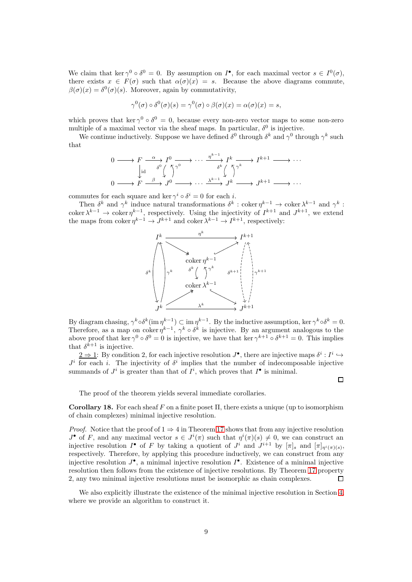We claim that ker  $\gamma^0 \circ \delta^0 = 0$ . By assumption on  $I^{\bullet}$ , for each maximal vector  $s \in I^0(\sigma)$ , there exists  $x \in F(\sigma)$  such that  $\alpha(\sigma)(x) = s$ . Because the above diagrams commute,  $\beta(\sigma)(x) = \delta^0(\sigma)(s)$ . Moreover, again by commutativity,

$$
\gamma^{0}(\sigma) \circ \delta^{0}(\sigma)(s) = \gamma^{0}(\sigma) \circ \beta(\sigma)(x) = \alpha(\sigma)(x) = s,
$$

which proves that ker  $\gamma^0 \circ \delta^0 = 0$ , because every non-zero vector maps to some non-zero multiple of a maximal vector via the sheaf maps. In particular,  $\delta^0$  is injective.

We continue inductively. Suppose we have defined  $\delta^0$  through  $\delta^k$  and  $\gamma^0$  through  $\gamma^k$  such that

$$
\begin{array}{ccc}\n0 & \longrightarrow & F \xrightarrow{\alpha} & I^0 \longrightarrow \cdots \xrightarrow{\eta^{k-1}} & I^k \longrightarrow & I^{k+1} \longrightarrow \cdots \\
\downarrow_{\text{id}} & \delta^0 \left( \begin{array}{c} \nearrow \\ \nearrow \end{array} \right)^{\gamma^0} & \cdots \xrightarrow{\delta^k} \left( \begin{array}{c} \nearrow \\ \nearrow \end{array} \right)^{\gamma^k} & I^{k+1} \longrightarrow \cdots \\
0 & \longrightarrow & F \xrightarrow{\beta} & J^0 \longrightarrow \cdots \xrightarrow{\lambda^{k-1}} & J^k \longrightarrow & J^{k+1} \longrightarrow \cdots\n\end{array}
$$

commutes for each square and ker  $\gamma^i \circ \delta^i = 0$  for each *i*.

Then  $\delta^k$  and  $\gamma^k$  induce natural transformations  $\delta^k$ : coker  $\eta^{k-1} \to \text{coker } \lambda^{k-1}$  and  $\gamma^k$ : coker  $\lambda^{k-1} \to \text{coker } \eta^{k-1}$ , respectively. Using the injectivity of  $I^{k+1}$  and  $J^{k+1}$ , we extend the maps from coker  $\eta^{k-1} \to J^{k+1}$  and coker  $\lambda^{k-1} \to I^{k+1}$ , respectively:



By diagram chasing,  $\gamma^k \circ \delta^k (\text{im } \eta^{k-1}) \subset \text{im } \eta^{k-1}$ . By the inductive assumption, ker  $\gamma^k \circ \delta^k = 0$ . Therefore, as a map on coker  $\eta^{k-1}$ ,  $\gamma^k \circ \delta^k$  is injective. By an argument analogous to the above proof that ker  $\gamma^0 \circ \delta^0 = 0$  is injective, we have that ker  $\gamma^{k+1} \circ \delta^{k+1} = 0$ . This implies that  $\delta^{k+1}$  is injective.

 $\underline{2 \Rightarrow 1}$ : By condition 2, for each injective resolution  $J^{\bullet}$ , there are injective maps  $\delta^i : I^i \hookrightarrow$  $J^i$  for each i. The injectivity of  $\delta^i$  implies that the number of indecomposable injective summands of  $J^i$  is greater than that of  $I^i$ , which proves that  $I^{\bullet}$  is minimal.

 $\Box$ 

The proof of the theorem yields several immediate corollaries.

<span id="page-8-0"></span>Corollary 18. For each sheaf F on a finite poset  $\Pi$ , there exists a unique (up to isomorphism of chain complexes) minimal injective resolution.

*Proof.* Notice that the proof of  $1 \Rightarrow 4$  in Theorem [17](#page-6-1) shows that from any injective resolution  $J^{\bullet}$  of F, and any maximal vector  $s \in J^{i}(\pi)$  such that  $\eta^{i}(\pi)(s) \neq 0$ , we can construct an injective resolution  $I^{\bullet}$  of F by taking a quotient of  $J^i$  and  $J^{i+1}$  by  $[\pi]_s$  and  $[\pi]_{\eta^i(\pi)(s)}$ , respectively. Therefore, by applying this procedure inductively, we can construct from any injective resolution  $J^{\bullet}$ , a minimal injective resolution  $I^{\bullet}$ . Existence of a minimal injective resolution then follows from the existence of injective resolutions. By Theorem [17](#page-6-1) property 2, any two minimal injective resolutions must be isomorphic as chain complexes.  $\Box$ 

We also explicitly illustrate the existence of the minimal injective resolution in Section [4,](#page-10-1) where we provide an algorithm to construct it.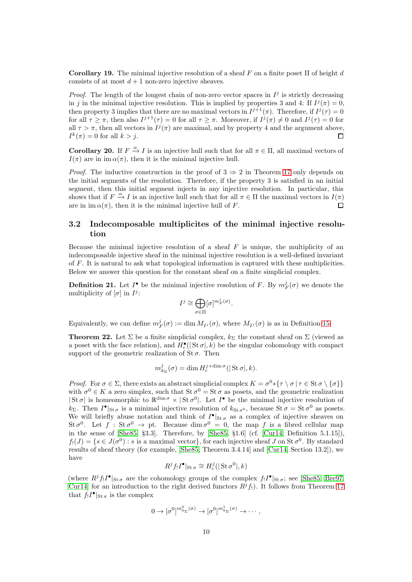<span id="page-9-2"></span>Corollary 19. The minimal injective resolution of a sheaf F on a finite poset  $\Pi$  of height d consists of at most  $d+1$  non-zero injective sheaves.

*Proof.* The length of the longest chain of non-zero vector spaces in  $I^j$  is strictly decreasing in j in the minimal injective resolution. This is implied by properties 3 and 4: If  $I^j(\pi) = 0$ , then property 3 implies that there are no maximal vectors in  $I^{j+1}(\pi)$ . Therefore, if  $I^j(\tau) = 0$ for all  $\tau \geq \pi$ , then also  $I^{j+1}(\tau) = 0$  for all  $\tau \geq \pi$ . Moreover, if  $I^j(\pi) \neq 0$  and  $I^j(\tau) = 0$  for all  $\tau > \pi$ , then all vectors in  $I^j(\pi)$  are maximal, and by property 4 and the argument above,  $I^k(\pi) = 0$  for all  $k > j$ .  $\Box$ 

<span id="page-9-1"></span>**Corollary 20.** If  $F \xrightarrow{\alpha} I$  is an injective hull such that for all  $\pi \in \Pi$ , all maximal vectors of  $I(\pi)$  are in im  $\alpha(\pi)$ , then it is the minimal injective hull.

*Proof.* The inductive construction in the proof of  $3 \Rightarrow 2$  in Theorem [17](#page-6-1) only depends on the initial segments of the resolution. Therefore, if the property 3 is satisfied in an initial segment, then this initial segment injects in any injective resolution. In particular, this shows that if  $F \stackrel{\alpha}{\to} I$  is an injective hull such that for all  $\pi \in \Pi$  the maximal vectors in  $I(\pi)$ are in im  $\alpha(\pi)$ , then it is the minimal injective hull of F.  $\Box$ 

### 3.2 Indecomposable multiplicites of the minimal injective resolution

Because the minimal injective resolution of a sheaf  $F$  is unique, the multiplicity of an indecomposable injective sheaf in the minimal injective resolution is a well-defined invariant of F. It is natural to ask what topological information is captured with these multiplicities. Below we answer this question for the constant sheaf on a finite simplicial complex.

**Definition 21.** Let  $I^{\bullet}$  be the minimal injective resolution of F. By  $m_F^j(\sigma)$  we denote the multiplicity of  $[\sigma]$  in  $I^j$ :

$$
I^j \cong \bigoplus_{\sigma \in \Pi} [\sigma]^{m_F^j(\sigma)}.
$$

Equivalently, we can define  $m_F^j(\sigma) := \dim M_{I^j}(\sigma)$ , where  $M_{I^j}(\sigma)$  is as in Definition [15.](#page-6-2)

<span id="page-9-0"></span>**Theorem 22.** Let  $\Sigma$  be a finite simplicial complex,  $k_{\Sigma}$  the constant sheaf on  $\Sigma$  (viewed as a poset with the face relation), and  $H_c^{\bullet}(|\operatorname{St}\sigma|,k)$  be the singular cohomology with compact support of the geometric realization of  $St \sigma$ . Then

$$
m_{k_{\Sigma}}^{j}(\sigma) = \dim H_{c}^{j + \dim \sigma}(|\operatorname{St}\sigma|, k).
$$

Proof. For  $\sigma \in \Sigma$ , there exists an abstract simplicial complex  $K = \sigma^0 * {\tau \setminus \sigma | \tau \in \mathop{\mathrm{St}}\nolimits \sigma \setminus {\sigma}}$ with  $\sigma^0 \in K$  a zero simplex, such that  $\text{St } \sigma^0 = \text{St } \sigma$  as posets, and the geometric realization  $|\operatorname{St}\sigma|$  is homeomorphic to  $\mathbb{R}^{\dim\sigma}\times|\operatorname{St}\sigma^0|$ . Let  $I^{\bullet}$  be the minimal injective resolution of  $k_{\Sigma}$ . Then  $I^{\bullet}|_{\text{St}\sigma}$  is a minimal injective resolution of  $k_{\text{St}\sigma^0}$ , because  $\text{St}\sigma = \text{St}\sigma^0$  as posets. We will briefly abuse notation and think of  $I^{\bullet}|_{\text{St }\sigma}$  as a complex of injective sheaves on St  $\sigma^0$ . Let  $f : St \sigma^0 \to pt$ . Because dim  $\sigma^0 = 0$ , the map f is a fibred cellular map in the sense of [\[She85,](#page-22-0) §3.3]. Therefore, by [\[She85,](#page-22-0) §1.6] (cf. [\[Cur14,](#page-21-3) Definition 5.1.15]),  $f_!(J) = \{ s \in J(\sigma^0) : s \text{ is a maximal vector} \}, \text{ for each injective sheaf } J \text{ on } \text{St } \sigma^0.$  By standard results of sheaf theory (for example, [\[She85,](#page-22-0) Theorem 3.4.14] and [\[Cur14,](#page-21-3) Section 13.2]), we have

$$
R^jf_!I^\bullet|_{\operatorname{St}\sigma}\cong H^j_c(|\operatorname{St}\sigma^0|,k)
$$

(where  $R^jf_!I^{\bullet}|_{\text{St}\sigma}$  are the cohomology groups of the complex  $f_!I^{\bullet}|_{\text{St}\sigma}$ ; see [\[She85,](#page-22-0) [Bre97,](#page-21-6) [Cur14\]](#page-21-3) for an introduction to the right derived functors  $R<sup>j</sup>f<sub>1</sub>$ ). It follows from Theorem [17](#page-6-1) that  $f_!I^{\bullet}|_{\text{St }\sigma}$  is the complex

$$
0 \to [\sigma^0]^{m^0_{k_\Sigma}(\sigma)} \to [\sigma^0]^{m^1_{k_\Sigma}(\sigma)} \to \cdots,
$$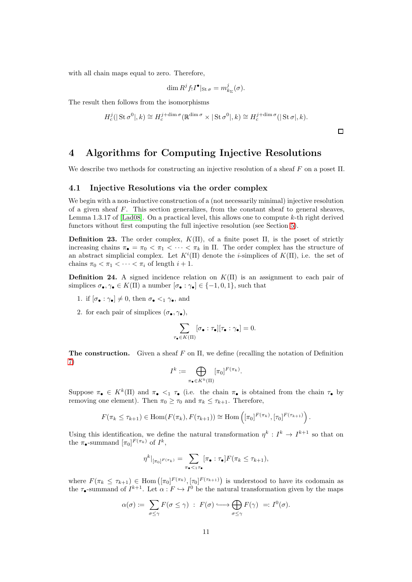with all chain maps equal to zero. Therefore,

$$
\dim R^j f_! I^{\bullet} |_{\text{St}\,\sigma} = m^j_{k_{\Sigma}}(\sigma).
$$

The result then follows from the isomorphisms

$$
H_c^j(|\operatorname{St}\sigma^0|,k) \cong H_c^{j+\dim\sigma}(\mathbb{R}^{\dim\sigma} \times |\operatorname{St}\sigma^0|,k) \cong H_c^{j+\dim\sigma}(|\operatorname{St}\sigma|,k).
$$

 $\Box$ 

# <span id="page-10-1"></span>4 Algorithms for Computing Injective Resolutions

<span id="page-10-0"></span>We describe two methods for constructing an injective resolution of a sheaf  $F$  on a poset  $\Pi$ .

### 4.1 Injective Resolutions via the order complex

We begin with a non-inductive construction of a (not necessarily minimal) injective resolution of a given sheaf  $F$ . This section generalizes, from the constant sheaf to general sheaves, Lemma 1.3.17 of [\[Lad08\]](#page-22-1). On a practical level, this allows one to compute  $k$ -th right derived functors without first computing the full injective resolution (see Section [5\)](#page-18-0).

**Definition 23.** The order complex,  $K(\Pi)$ , of a finite poset  $\Pi$ , is the poset of strictly increasing chains  $\pi_{\bullet} = \pi_0 < \pi_1 < \cdots < \pi_k$  in  $\Pi$ . The order complex has the structure of an abstract simplicial complex. Let  $K^i(\Pi)$  denote the *i*-simplices of  $K(\Pi)$ , i.e. the set of chains  $\pi_0 < \pi_1 < \cdots < \pi_i$  of length  $i+1$ .

**Definition 24.** A signed incidence relation on  $K(\Pi)$  is an assignment to each pair of simplices  $\sigma_{\bullet}, \gamma_{\bullet} \in K(\Pi)$  a number  $[\sigma_{\bullet} : \gamma_{\bullet}] \in \{-1, 0, 1\}$ , such that

- 1. if  $[\sigma_{\bullet} : \gamma_{\bullet}] \neq 0$ , then  $\sigma_{\bullet} <_1 \gamma_{\bullet}$ , and
- 2. for each pair of simplices  $(\sigma_{\bullet}, \gamma_{\bullet}),$

$$
\sum_{\tau_{\bullet} \in K(\Pi)} [\sigma_{\bullet} : \tau_{\bullet}][\tau_{\bullet} : \gamma_{\bullet}] = 0.
$$

The construction. Given a sheaf  $F$  on  $\Pi$ , we define (recalling the notation of Definition [7\)](#page-3-0)

$$
I^k := \bigoplus_{\pi_{\bullet} \in K^k(\Pi)} [\pi_0]^{F(\pi_k)}.
$$

Suppose  $\pi_{\bullet} \in K^k(\Pi)$  and  $\pi_{\bullet} \leq_1 \tau_{\bullet}$  (i.e. the chain  $\pi_{\bullet}$  is obtained from the chain  $\tau_{\bullet}$  by removing one element). Then  $\pi_0 \geq \tau_0$  and  $\pi_k \leq \tau_{k+1}$ . Therefore,

$$
F(\pi_k \leq \tau_{k+1}) \in \text{Hom}(F(\pi_k), F(\tau_{k+1})) \cong \text{Hom}\left([\pi_0]^{F(\pi_k)}, [\tau_0]^{F(\tau_{k+1})}\right).
$$

Using this identification, we define the natural transformation  $\eta^k : I^k \to I^{k+1}$  so that on the  $\pi_{\bullet}$ -summand  $[\pi_0]^{F(\pi_k)}$  of  $I^k$ ,

$$
\eta^k|_{[\pi_0]^{F(\pi_k)}} = \sum_{\pi_{\bullet} < \pi_{\bullet}} [\pi_{\bullet} : \tau_{\bullet}] F(\pi_k \leq \tau_{k+1}),
$$

where  $F(\pi_k \leq \tau_{k+1}) \in \text{Hom}([\pi_0]^{F(\pi_k)}, [\tau_0]^{F(\tau_{k+1})})$  is understood to have its codomain as the  $\tau_{\bullet}$ -summand of  $I^{k+1}$ . Let  $\alpha : F \hookrightarrow I^{0}$  be the natural transformation given by the maps

$$
\alpha(\sigma) := \sum_{\sigma \leq \gamma} F(\sigma \leq \gamma) : F(\sigma) \longrightarrow \bigoplus_{\sigma \leq \gamma} F(\gamma) =: I^0(\sigma).
$$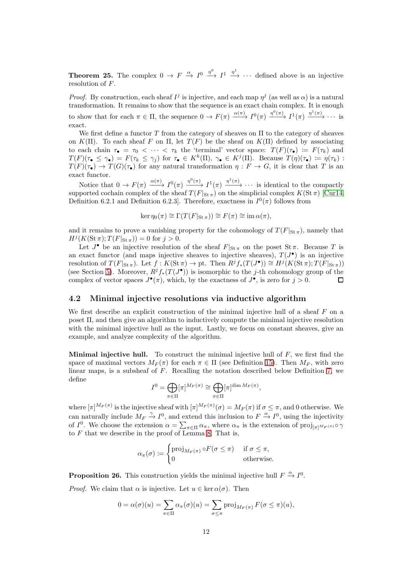**Theorem 25.** The complex  $0 \to F \xrightarrow{\alpha} I^0 \xrightarrow{\eta^0} I^1 \xrightarrow{\eta^1} \cdots$  defined above is an injective resolution of F.

*Proof.* By construction, each sheaf  $I^j$  is injective, and each map  $\eta^j$  (as well as  $\alpha$ ) is a natural transformation. It remains to show that the sequence is an exact chain complex. It is enough to show that for each  $\pi \in \Pi$ , the sequence  $0 \to F(\pi) \xrightarrow{\alpha(\pi)} I^0(\pi) \xrightarrow{\eta^0(\pi)} I^1(\pi) \xrightarrow{\eta^1(\pi)} \cdots$  is exact.

We first define a functor  $T$  from the category of sheaves on  $\Pi$  to the category of sheaves on K(Π). To each sheaf F on Π, let  $T(F)$  be the sheaf on K(Π) defined by associating to each chain  $\tau_{\bullet} = \tau_0 < \cdots < \tau_k$  the 'terminal' vector space:  $T(F)(\tau_{\bullet}) := F(\tau_k)$  and  $T(F)(\tau_{\bullet} \leq \gamma_{\bullet}) = F(\tau_k \leq \gamma_j)$  for  $\tau_{\bullet} \in K^k(\Pi)$ ,  $\gamma_{\bullet} \in K^j(\Pi)$ . Because  $T(\eta)(\tau_{\bullet}) := \eta(\tau_k)$ :  $T(F)(\tau_{\bullet}) \to T(G)(\tau_{\bullet})$  for any natural transformation  $\eta : F \to G$ , it is clear that T is an exact functor.

Notice that  $0 \to F(\pi) \xrightarrow{\alpha(\pi)} I^0(\pi) \xrightarrow{\eta^0(\pi)} I^1(\pi) \xrightarrow{\eta^1(\pi)} \cdots$  is identical to the compactly supported cochain complex of the sheaf  $T(F|_{\text{St}\,\pi})$  on the simplicial complex  $K(\text{St}\,\pi)$  [\[Cur14,](#page-21-3) Definition 6.2.1 and Definition 6.2.3. Therefore, exactness in  $I^0(\pi)$  follows from

$$
\ker \eta_0(\pi) \cong \Gamma(T(F|_{\text{St}\,\pi})) \cong F(\pi) \cong \text{im}\,\alpha(\pi),
$$

and it remains to prove a vanishing property for the cohomology of  $T(F|_{\text{St}\pi})$ , namely that  $H^{j}(K(\operatorname{St}\pi); T(F|_{\operatorname{St}\pi})) = 0$  for  $j > 0$ .

Let  $J^{\bullet}$  be an injective resolution of the sheaf  $F|_{\text{St}\,\pi}$  on the poset  $\text{St}\,\pi$ . Because T is an exact functor (and maps injective sheaves to injective sheaves),  $T(J^{\bullet})$  is an injective resolution of  $T(F|_{\text{St}\,\pi})$ . Let  $f: K(\text{St}\,\pi) \to \text{pt}$ . Then  $R^jf_*(T(J^{\bullet})) \cong H^j(K(\text{St}\,\pi);T(F|_{\text{St}\,\pi}))$ (see Section [5\)](#page-18-0). Moreover,  $R^jf_*(T(J^{\bullet}))$  is isomorphic to the j-th cohomology group of the complex of vector spaces  $J^{\bullet}(\pi)$ , which, by the exactness of  $J^{\bullet}$ , is zero for  $j > 0$ . П

### <span id="page-11-0"></span>4.2 Minimal injective resolutions via inductive algorithm

We first describe an explicit construction of the minimal injective hull of a sheaf  $F$  on a poset Π, and then give an algorithm to inductively compute the minimal injective resolution with the minimal injective hull as the input. Lastly, we focus on constant sheaves, give an example, and analyze complexity of the algorithm.

**Minimal injective hull.** To construct the minimal injective hull of  $F$ , we first find the space of maximal vectors  $M_F(\pi)$  for each  $\pi \in \Pi$  (see Definition [15\)](#page-6-2). Then  $M_F$ , with zero linear maps, is a subsheaf of  $F$ . Recalling the notation described below Definition [7,](#page-3-0) we define

$$
I^0 = \bigoplus_{\pi \in \Pi} [\pi]^{M_F(\pi)} \cong \bigoplus_{\pi \in \Pi} [\pi]^{\dim M_F(\pi)},
$$

where  $[\pi]^{M_F(\pi)}$  is the injective sheaf with  $[\pi]^{M_F(\pi)}(\sigma) = M_F(\pi)$  if  $\sigma \leq \pi$ , and 0 otherwise. We can naturally include  $M_F \stackrel{\gamma}{\to} I^0$ , and extend this inclusion to  $F \stackrel{\alpha}{\to} I^0$ , using the injectivity of  $I^0$ . We choose the extension  $\alpha = \sum_{\pi \in \Pi} \alpha_{\pi}$ , where  $\alpha_{\pi}$  is the extension of  $\text{proj}_{[\pi]^{M_F(\pi)}} \circ \gamma$ to  $F$  that we describe in the proof of Lemma [8.](#page-3-1) That is,

$$
\alpha_{\pi}(\sigma) \coloneqq \begin{cases} \text{proj}_{M_F(\pi)} \circ F(\sigma \le \pi) & \text{if } \sigma \le \pi, \\ 0 & \text{otherwise.} \end{cases}
$$

**Proposition 26.** This construction yields the minimal injective hull  $F \xrightarrow{\alpha} I^0$ . *Proof.* We claim that  $\alpha$  is injective. Let  $u \in \text{ker } \alpha(\sigma)$ . Then

$$
0 = \alpha(\sigma)(u) = \sum_{\pi \in \Pi} \alpha_{\pi}(\sigma)(u) = \sum_{\sigma \leq \pi} \text{proj}_{M_F(\pi)} F(\sigma \leq \pi)(u),
$$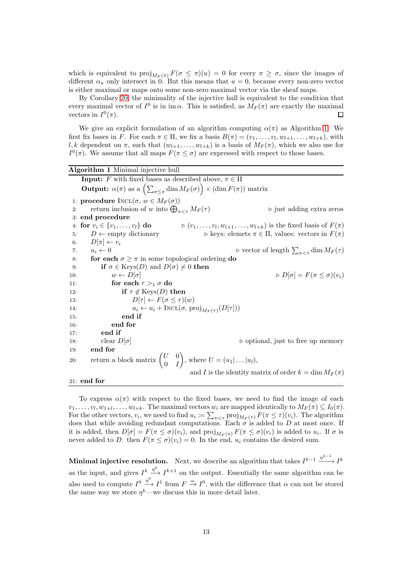which is equivalent to  $proj_{M_F(\pi)} F(\sigma \leq \pi)(u) = 0$  for every  $\pi \geq \sigma$ , since the images of different  $\alpha_{\pi}$  only intersect in 0. But this means that  $u = 0$ , because every non-zero vector is either maximal or maps onto some non-zero maximal vector via the sheaf maps.

By Corollary [20,](#page-9-1) the minimality of the injective hull is equivalent to the condition that every maximal vector of  $I^0$  is in im  $\alpha$ . This is satisfied, as  $M_F(\pi)$  are exactly the maximal vectors in  $I^0(\pi)$ . 口

We give an explicit formulation of an algorithm computing  $\alpha(\pi)$  as Algorithm [1.](#page-12-0) We first fix bases in F. For each  $\pi \in \Pi$ , we fix a basis  $B(\pi) = (v_1, \ldots, v_l, w_{l+1}, \ldots, w_{l+k})$ , with l, k dependent on  $\pi$ , such that  $(w_{l+1}, \ldots, w_{l+k})$  is a basis of  $M_F(\pi)$ , which we also use for  $I^0(\pi)$ . We assume that all maps  $F(\pi \leq \sigma)$  are expressed with respect to those bases.

<span id="page-12-0"></span>Algorithm 1 Minimal injective hull **Input:** F with fixed bases as described above,  $\pi \in \Pi$ **Output:**  $\alpha(\pi)$  as a  $\left(\sum_{\sigma\leq\pi}\dim M_F(\sigma)\right)\times (\dim F(\pi))$  matrix 1: **procedure**  $INCL(\sigma, w \in M_F(\sigma))$ 2: return inclusion of w into  $\bigoplus_{\pi\leq\pi}M_F(\tau)$  $\triangleright$  just adding extra zeros 3: end procedure 4: for  $v_i \in \{v_1, \ldots, v_l\}$  do  $\rhd$   $(v_1, \ldots, v_l, w_{l+1}, \ldots, w_{l+k})$  is the fixed basis of  $F(\pi)$ 5:  $D \leftarrow \text{empty dictionary}$  > keys: elemets  $\pi \in \Pi$ , values: vectors in  $F(\pi)$ 6:  $D[\pi] \leftarrow v_i$ 7:  $u_i \leftarrow 0$   $\triangleright$  vector of length  $\sum_{\pi \leq \tau} \dim M_F(\tau)$ 8: **for each**  $\sigma \geq \pi$  in some topological ordering **do** 9: **if**  $\sigma \in \text{Keys}(D)$  and  $D(\sigma) \neq 0$  then 10:  $w \leftarrow D[\sigma]$   $\triangleright D[\sigma] = F(\pi \leq \sigma)(v_i)$ 11: for each  $\tau >_1 \sigma$  do 12: if  $\tau \notin \text{Keys}(D)$  then 13:  $D[\tau] \leftarrow F(\sigma \leq \tau)(w)$ 14:  $u_i \leftarrow u_i + \text{INCL}(\sigma, \text{proj}_{M_F(\tau)}(D[\tau]))$ 15: end if 16: end for 17: end if 18: clear  $D[\sigma]$  ⇒ optional, just to free up memory 19: end for 20: return a block matrix  $\begin{pmatrix} U & 0 \\ 0 & I \end{pmatrix}$  $0 \quad I$ ), where  $U = (u_1 | \dots | u_l)$ , and I is the identity matrix of order  $k = \dim M_F(\pi)$ 21: end for

To express  $\alpha(\pi)$  with respect to the fixed bases, we need to find the image of each  $v_1, \ldots, v_l, w_{1+l}, \ldots, w_{l+k}$ . The maximal vectors  $w_i$  are mapped identically to  $M_F(\pi) \subseteq I_0(\pi)$ . For the other vectors,  $v_i$ , we need to find  $u_i := \sum_{\pi \leq \tau} \text{proj}_{M_F(\tau)} F(\pi \leq \tau)(v_i)$ . The algorithm does that while avoiding redundant computations. Each  $\sigma$  is added to D at most once. If it is added, then  $D[\sigma] = F(\pi \le \sigma)(v_i)$ , and  $proj_{M_F(\pi)} F(\pi \le \sigma)(v_i)$  is added to  $u_i$ . If  $\sigma$  is never added to D. then  $F(\pi \leq \sigma)(v_i) = 0$ . In the end,  $u_i$  contains the desired sum.

Minimal injective resolution. Next, we describe an algorithm that takes  $I^{k-1} \xrightarrow{\eta^{k-1}} I^k$ as the input, and gives  $I^k \xrightarrow{\eta^k} I^{k+1}$  on the output. Essentially the same algorithm can be also used to compute  $I^0 \xrightarrow{\eta^0} I^1$  from  $F \xrightarrow{\alpha} I^0$ , with the difference that  $\alpha$  can not be stored the same way we store  $\eta^k$ —we discuss this in more detail later.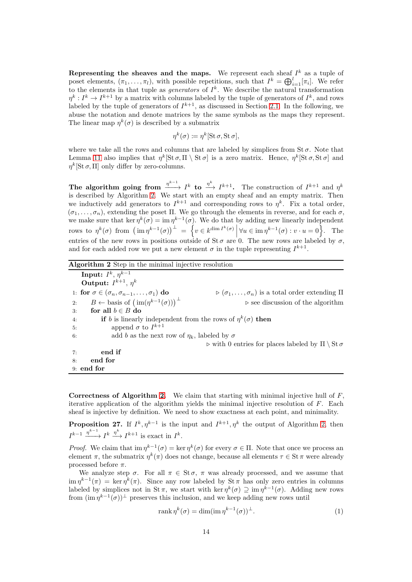Representing the sheaves and the maps. We represent each sheaf  $I^k$  as a tuple of poset elements,  $(\pi_1, \ldots, \pi_l)$ , with possible repetitions, such that  $I^k = \bigoplus_{i=1}^l [\pi_i]$ . We refer to the elements in that tuple as *generators* of  $I^k$ . We describe the natural transformation  $\eta^k: I^k \to I^{k+1}$  by a matrix with columns labeled by the tuple of generators of  $I^k$ , and rows labeled by the tuple of generators of  $I^{k+1}$ , as discussed in Section [2.1.](#page-5-1) In the following, we abuse the notation and denote matrices by the same symbols as the maps they represent. The linear map  $\eta^k(\sigma)$  is described by a submatrix

$$
\eta^k(\sigma) \coloneqq \eta^k[\operatorname{St}\sigma, \operatorname{St}\sigma],
$$

where we take all the rows and columns that are labeled by simplices from  $St \sigma$ . Note that Lemma [11](#page-5-0) also implies that  $\eta^k[\text{St }\sigma,\Pi \setminus \text{St }\sigma]$  is a zero matrix. Hence,  $\eta^k[\text{St }\sigma,\text{St }\sigma]$  and  $\eta^k[\operatorname{St}\sigma,\Pi]$  only differ by zero-columns.

The algorithm going from  $\frac{\eta^{k-1}}{k}$  *I*<sup>k</sup> to  $\frac{\eta^k}{k+1}$ . The construction of *I*<sup>k+1</sup> and  $\eta^k$ is described by Algorithm [2.](#page-13-0) We start with an empty sheaf and an empty matrix. Then we inductively add generators to  $I^{k+1}$  and corresponding rows to  $\eta^k$ . Fix a total order,  $(\sigma_1, \ldots, \sigma_n)$ , extending the poset Π. We go through the elements in reverse, and for each  $\sigma$ , we make sure that ker  $\eta^k(\sigma) = \text{im } \eta^{k-1}(\sigma)$ . We do that by adding new linearly independent rows to  $\eta^k(\sigma)$  from  $\left(\operatorname{im} \eta^{k-1}(\sigma)\right)^{\perp} = \left\{v \in k^{\dim I^k(\sigma)} \middle| \forall u \in \operatorname{im} \eta^{k-1}(\sigma) : v \cdot u = 0\right\}.$  The entries of the new rows in positions outside of St  $\sigma$  are 0. The new rows are labeled by  $\sigma$ , and for each added row we put a new element  $\sigma$  in the tuple representing  $I^{k+1}$ .

<span id="page-13-0"></span>

| Algorithm 2 Step in the minimal injective resolution                       |
|----------------------------------------------------------------------------|
|                                                                            |
|                                                                            |
| $\rhd(\sigma_1,\ldots,\sigma_n)$ is a total order extending $\Pi$          |
| $\triangleright$ see discussion of the algorithm                           |
|                                                                            |
| <b>if</b> b is linearly independent from the rows of $\eta^k(\sigma)$ then |
|                                                                            |
| add b as the next row of $\eta_k$ , labeled by $\sigma$                    |
| $\rhd$ with 0 entries for places labeled by $\Pi \setminus$ St $\sigma$    |
|                                                                            |
|                                                                            |
|                                                                            |
|                                                                            |

**Correctness of Algorithm [2.](#page-13-0)** We claim that starting with minimal injective hull of  $F$ , iterative application of the algorithm yields the minimal injective resolution of  $F$ . Each sheaf is injective by definition. We need to show exactness at each point, and minimality.

**Proposition 27.** If  $I^k, \eta^{k-1}$  is the input and  $I^{k+1}, \eta^k$  the output of Algorithm [2,](#page-13-0) then  $I^{k-1} \xrightarrow{\eta^{k-1}} I^k \xrightarrow{\eta^k} I^{k+1}$  is exact in  $I^k$ .

*Proof.* We claim that  $\text{im } \eta^{k-1}(\sigma) = \text{ker } \eta^k(\sigma)$  for every  $\sigma \in \Pi$ . Note that once we process an element  $\pi$ , the submatrix  $\eta^k(\pi)$  does not change, because all elements  $\tau \in \mathcal{S}$ t  $\pi$  were already processed before  $\pi$ .

We analyze step  $\sigma$ . For all  $\pi \in \text{St } \sigma$ ,  $\pi$  was already processed, and we assume that  $\lim \eta^{k-1}(\pi) = \ker \eta^k(\pi)$ . Since any row labeled by  $\text{St } \pi$  has only zero entries in columns labeled by simplices not in St  $\pi$ , we start with ker  $\eta^k(\sigma) \supseteq \lim \eta^{k-1}(\sigma)$ . Adding new rows from  $(\operatorname{im} \eta^{k-1}(\sigma))^{\perp}$  preserves this inclusion, and we keep adding new rows until

<span id="page-13-1"></span>
$$
rank \eta^k(\sigma) = \dim(\operatorname{im} \eta^{k-1}(\sigma))^{\perp}.
$$
\n(1)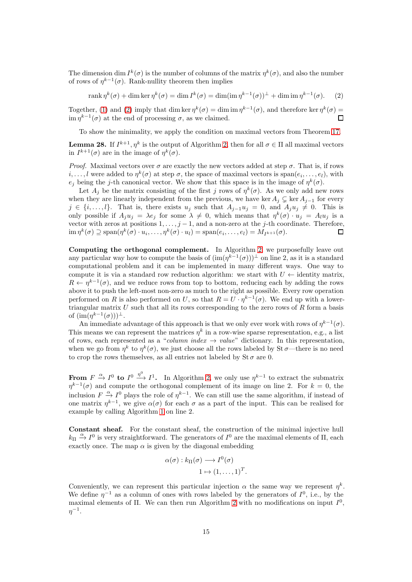The dimension dim  $I^k(\sigma)$  is the number of columns of the matrix  $\eta^k(\sigma)$ , and also the number of rows of  $\eta^{k-1}(\sigma)$ . Rank-nullity theorem then implies

<span id="page-14-0"></span>rank  $\eta^k(\sigma) + \dim \ker \eta^k(\sigma) = \dim I^k(\sigma) = \dim (\operatorname{im} \eta^{k-1}(\sigma))^{\perp} + \dim \operatorname{im} \eta^{k-1}(\sigma).$  (2)

Together, [\(1\)](#page-13-1) and [\(2\)](#page-14-0) imply that dim ker  $\eta^k(\sigma) = \dim \mathrm{im} \eta^{k-1}(\sigma)$ , and therefore ker  $\eta^k(\sigma) =$  $\lim \eta^{k-1}(\sigma)$  at the end of processing  $\sigma$ , as we claimed.

To show the minimality, we apply the condition on maximal vectors from Theorem [17.](#page-6-1)

**Lemma 28.** If  $I^{k+1}, \eta^k$  is the output of Algorithm [2,](#page-13-0) then for all  $\sigma \in \Pi$  all maximal vectors in  $I^{k+1}(\sigma)$  are in the image of  $\eta^k(\sigma)$ .

*Proof.* Maximal vectors over  $\sigma$  are exactly the new vectors added at step  $\sigma$ . That is, if rows  $i, \ldots, l$  were added to  $\eta^k(\sigma)$  at step  $\sigma$ , the space of maximal vectors is  $\text{span}(e_i, \ldots, e_l)$ , with  $e_j$  being the j-th canonical vector. We show that this space is in the image of  $\eta^k(\sigma)$ .

Let  $A_j$  be the matrix consisting of the first j rows of  $\eta^k(\sigma)$ . As we only add new rows when they are linearly independent from the previous, we have ker  $A_j \subsetneq \text{ker } A_{j-1}$  for every  $j \in \{i, \ldots, l\}$ . That is, there exists  $u_j$  such that  $A_{j-1}u_j = 0$ , and  $A_ju_j \neq 0$ . This is only possible if  $A_j u_j = \lambda e_j$  for some  $\lambda \neq 0$ , which means that  $\eta^k(\sigma) \cdot u_j = A_l u_j$  is a vector with zeros at positions  $1, \ldots, j-1$ , and a non-zero at the j-th coordinate. Therefore,  $\lim \eta^k(\sigma) \supseteq \text{span}(\eta^k(\sigma) \cdot u_i, \dots, \eta^k(\sigma) \cdot u_l) = \text{span}(e_i, \dots, e_l) = M_{I^{k+1}}(\sigma).$ □

Computing the orthogonal complement. In Algorithm [2,](#page-13-0) we purposefully leave out any particular way how to compute the basis of  $(\text{im}(\eta^{k-1}(\sigma)))^{\perp}$  on line 2, as it is a standard computational problem and it can be implemented in many different ways. One way to compute it is via a standard row reduction algorithm: we start with  $U \leftarrow$  identity matrix,  $R \leftarrow \eta^{k-1}(\sigma)$ , and we reduce rows from top to bottom, reducing each by adding the rows above it to push the left-most non-zero as much to the right as possible. Every row operation performed on R is also performed on U, so that  $R = U \cdot \eta^{k-1}(\sigma)$ . We end up with a lowertriangular matrix  $U$  such that all its rows corresponding to the zero rows of  $R$  form a basis of  $(\text{im}(\eta^{k-1}(\sigma)))^{\perp}$ .

An immediate advantage of this approach is that we only ever work with rows of  $\eta^{k-1}(\sigma)$ . This means we can represent the matrices  $\eta^k$  in a row-wise sparse representation, e.g., a list of rows, each represented as a "*column index*  $\rightarrow$  value" dictionary. In this representation, when we go from  $\eta^k$  to  $\eta^k(\sigma)$ , we just choose all the rows labeled by St  $\sigma$ —there is no need to crop the rows themselves, as all entries not labeled by  $\text{St }\sigma$  are 0.

From  $F \stackrel{\alpha}{\rightarrow} I^0$  to  $I^0 \stackrel{\eta^0}{\rightarrow} I^1$ . In Algorithm [2,](#page-13-0) we only use  $\eta^{k-1}$  to extract the submatrix  $\eta^{k-1}(\sigma)$  and compute the orthogonal complement of its image on line 2. For  $k=0$ , the inclusion  $F \xrightarrow{\alpha} I^0$  plays the role of  $\eta^{k-1}$ . We can still use the same algorithm, if instead of one matrix  $\eta^{k-1}$ , we give  $\alpha(\sigma)$  for each  $\sigma$  as a part of the input. This can be realised for example by calling Algorithm [1](#page-12-0) on line 2.

Constant sheaf. For the constant sheaf, the construction of the minimal injective hull  $k_{\Pi} \stackrel{\alpha}{\rightarrow} I^0$  is very straightforward. The generators of  $I^0$  are the maximal elements of  $\Pi$ , each exactly once. The map  $\alpha$  is given by the diagonal embedding

$$
\alpha(\sigma) : k_{\Pi}(\sigma) \longrightarrow I^0(\sigma)
$$
  

$$
1 \mapsto (1, \dots, 1)^T.
$$

Conveniently, we can represent this particular injection  $\alpha$  the same way we represent  $\eta^k$ . We define  $\eta^{-1}$  as a column of ones with rows labeled by the generators of  $I^0$ , i.e., by the maximal elements of  $\Pi$ . We can then run Algorithm [2](#page-13-0) with no modifications on input  $I^0$ ,  $\eta^{-1}.$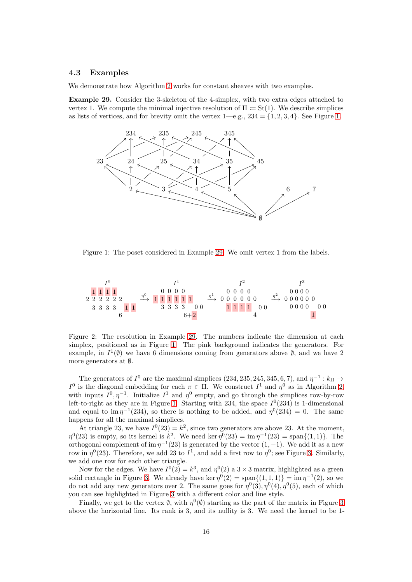### 4.3 Examples

We demonstrate how Algorithm [2](#page-13-0) works for constant sheaves with two examples.

<span id="page-15-1"></span>Example 29. Consider the 3-skeleton of the 4-simplex, with two extra edges attached to vertex 1. We compute the minimal injective resolution of  $\Pi := St(1)$ . We describe simplices as lists of vertices, and for brevity omit the vertex  $1-e.g., 234 = \{1, 2, 3, 4\}$ . See Figure [1.](#page-15-0)

<span id="page-15-0"></span>

Figure 1: The poset considered in Example [29.](#page-15-1) We omit vertex 1 from the labels.

<span id="page-15-2"></span>

Figure 2: The resolution in Example [29.](#page-15-1) The numbers indicate the dimension at each simplex, positioned as in Figure [1.](#page-15-0) The pink background indicates the generators. For example, in  $I^1(\emptyset)$  we have 6 dimensions coming from generators above  $\emptyset$ , and we have 2 more generators at ∅.

The generators of  $I^0$  are the maximal simplices (234, 235, 245, 345, 6, 7), and  $\eta^{-1}: k_{\Pi} \to$  $I<sup>0</sup>$  is the diagonal embedding for each π ∈ Π. We construct  $I<sup>1</sup>$  and  $η<sup>0</sup>$  as in Algorithm [2,](#page-13-0) with inputs  $I^0, \eta^{-1}$ . Initialize  $I^1$  and  $\eta^0$  empty, and go through the simplices row-by-row left-to-right as they are in Figure [1.](#page-15-0) Starting with 234, the space  $I^0(234)$  is 1-dimensional and equal to  $\text{im } \eta^{-1}(234)$ , so there is nothing to be added, and  $\eta^{0}(234) = 0$ . The same happens for all the maximal simplices.

At triangle 23, we have  $I^0(23) = k^2$ , since two generators are above 23. At the moment,  $\eta^0(23)$  is empty, so its kernel is  $k^2$ . We need ker  $\eta^0(23) = \text{im } \eta^{-1}(23) = \text{span}\{(1,1)\}\.$  The orthogonal complement of im  $\eta^{-1}(23)$  is generated by the vector  $(1, -1)$ . We add it as a new row in  $\eta^0(23)$ . Therefore, we add 23 to  $I^1$ , and add a first row to  $\eta^0$ ; see Figure [3.](#page-16-0) Similarly, we add one row for each other triangle.

Now for the edges. We have  $I^0(2) = k^3$ , and  $\eta^0(2)$  a  $3 \times 3$  matrix, highlighted as a green solid rectangle in Figure [3.](#page-16-0) We already have ker  $\eta^0(2) = \text{span}\{(1,1,1)\} = \text{im } \eta^{-1}(2)$ , so we do not add any new generators over 2. The same goes for  $\eta^0(3), \eta^0(4), \eta^0(5)$ , each of which you can see highlighted in Figure [3](#page-16-0) with a different color and line style.

Finally, we get to the vertex  $\emptyset$ , with  $\eta^0(\emptyset)$  starting as the part of the matrix in Figure [3](#page-16-0) above the horizontal line. Its rank is 3, and its nullity is 3. We need the kernel to be 1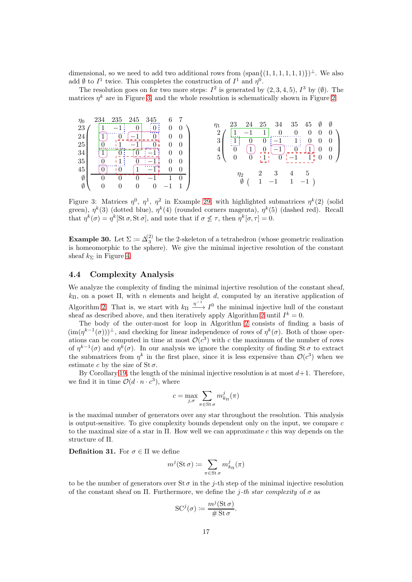dimensional, so we need to add two additional rows from  $(\text{span}\{(1,1,1,1,1,1)\})^{\perp}$ . We also add  $\emptyset$  to  $I^1$  twice. This completes the construction of  $I^1$  and  $\eta^0$ .

<span id="page-16-0"></span>The resolution goes on for two more steps:  $I^2$  is generated by  $(2,3,4,5)$ ,  $I^3$  by  $(\emptyset)$ . The matrices  $\eta^k$  are in Figure [3,](#page-16-0) and the whole resolution is schematically shown in Figure [2.](#page-15-2)



Figure 3: Matrices  $\eta^0$ ,  $\eta^1$ ,  $\eta^2$  in Example [29,](#page-15-1) with highlighted submatrices  $\eta^k(2)$  (solid green),  $\eta^k(3)$  (dotted blue),  $\eta^k(4)$  (rounded corners magenta),  $\eta^k(5)$  (dashed red). Recall that  $\eta^k(\sigma) = \eta^k[\text{St }\sigma, \text{St }\sigma]$ , and note that if  $\sigma \not\leq \tau$ , then  $\eta^k[\sigma, \tau] = 0$ .

**Example 30.** Let  $\Sigma := \Delta_3^{(2)}$  be the 2-skeleton of a tetrahedron (whose geometric realization is homeomorphic to the sphere). We give the minimal injective resolution of the constant sheaf  $k_{\Sigma}$  in Figure [4.](#page-17-1)

### 4.4 Complexity Analysis

We analyze the complexity of finding the minimal injective resolution of the constant sheaf,  $k_{\Pi}$ , on a poset  $\Pi$ , with n elements and height d, computed by an iterative application of Algorithm [2.](#page-13-0) That is, we start with  $k_{\Pi} \longrightarrow 1^0$  the minimal injective hull of the constant sheaf as described above, and then iteratively apply Algorithm [2](#page-13-0) until  $I^k = 0$ .

The body of the outer-most for loop in Algorithm [2](#page-13-0) consists of finding a basis of  $(\text{im}(\eta^{k-1}(\sigma)))^{\perp}$ , and checking for linear independence of rows of  $\eta^k(\sigma)$ . Both of those operations can be computed in time at most  $\mathcal{O}(c^3)$  with c the maximum of the number of rows of  $\eta^{k-1}(\sigma)$  and  $\eta^k(\sigma)$ . In our analysis we ignore the complexity of finding St  $\sigma$  to extract the submatrices from  $\eta^k$  in the first place, since it is less expensive than  $\mathcal{O}(c^3)$  when we estimate c by the size of  $St\sigma$ .

By Corollary [19,](#page-9-2) the length of the minimal injective resolution is at most  $d+1$ . Therefore, we find it in time  $\mathcal{O}(d \cdot n \cdot c^3)$ , where

$$
c = \max_{j,\sigma} \sum_{\pi \in \text{St } \sigma} m^j_{k_{\Pi}}(\pi)
$$

is the maximal number of generators over any star throughout the resolution. This analysis is output-sensitive. To give complexity bounds dependent only on the input, we compare c to the maximal size of a star in Π. How well we can approximate c this way depends on the structure of Π.

**Definition 31.** For  $\sigma \in \Pi$  we define

$$
m^j(\operatorname{St}\sigma)\coloneqq\sum_{\pi\in\operatorname{St}\sigma}m^j_{k_\Pi}(\pi)
$$

to be the number of generators over  $\text{St }\sigma$  in the *j*-th step of the minimal injective resolution of the constant sheaf on Π. Furthermore, we define the j-th star complexity of  $\sigma$  as

$$
SC^{j}(\sigma) \coloneqq \frac{m^{j}(\operatorname{St}\sigma)}{\#\operatorname{St}\sigma}.
$$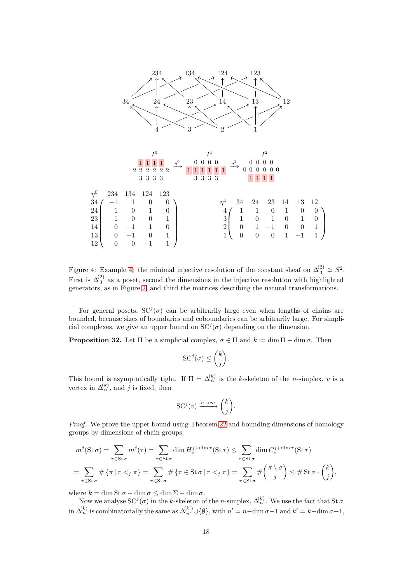<span id="page-17-1"></span>

Figure [4:](#page-17-1) Example 4: the minimal injective resolution of the constant sheaf on  $\Delta_3^{(2)} \cong S^2$ . First is  $\Delta_3^{(2)}$  as a poset, second the dimensions in the injective resolution with highlighted generators, as in Figure [2,](#page-15-2) and third the matrices describing the natural transformations.

For general posets,  $SC^{j}(\sigma)$  can be arbitrarily large even when lengths of chains are bounded, because sizes of boundaries and coboundaries can be arbitrarily large. For simplicial complexes, we give an upper bound on  $SC^{j}(\sigma)$  depending on the dimension.

<span id="page-17-0"></span>**Proposition 32.** Let  $\Pi$  be a simplicial complex,  $\sigma \in \Pi$  and  $k := \dim \Pi - \dim \sigma$ . Then

$$
SC^{j}(\sigma) \leq {k \choose j}.
$$

This bound is asymptotically tight. If  $\Pi = \Delta_n^{(k)}$  is the k-skeleton of the n-simplex, v is a vertex in  $\Delta_n^{(k)}$ , and j is fixed, then

$$
SC^{j}(v) \xrightarrow{n \to \infty} {k \choose j}.
$$

Proof. We prove the upper bound using Theorem [22](#page-9-0) and bounding dimensions of homology groups by dimensions of chain groups:

$$
m^{j}(\operatorname{St}\sigma) = \sum_{\tau \in \operatorname{St}\sigma} m^{j}(\tau) = \sum_{\tau \in \operatorname{St}\sigma} \dim H_{c}^{j + \dim \tau}(\operatorname{St}\tau) \le \sum_{\tau \in \operatorname{St}\sigma} \dim C_{c}^{j + \dim \tau}(\operatorname{St}\tau)
$$

$$
= \sum_{\tau \in \operatorname{St}\sigma} \# \{\pi \mid \tau <_{j} \pi\} = \sum_{\pi \in \operatorname{St}\sigma} \# \tau \in \operatorname{St}\sigma \mid \tau <_{j} \pi\} = \sum_{\pi \in \operatorname{St}\sigma} \# \binom{\pi \setminus \sigma}{j} \le \# \operatorname{St}\sigma \cdot \binom{k}{j},
$$

where  $k = \dim \text{St }\sigma - \dim \sigma \leq \dim \Sigma - \dim \sigma$ .

Now we analyse  $SC^{j}(\sigma)$  in the k-skeleton of the n-simplex,  $\Delta_{n}^{(k)}$ . We use the fact that St  $\sigma$ in  $\Delta_n^{(k)}$  is combinatorially the same as  $\Delta_{n'}^{(k')} \cup \{\emptyset\}$ , with  $n' = n - \dim \sigma - 1$  and  $k' = k - \dim \sigma - 1$ ,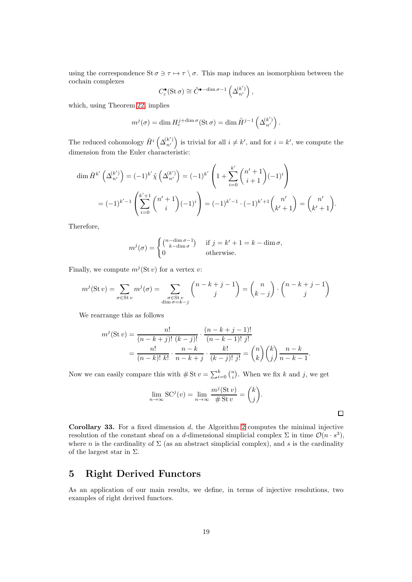using the correspondence St  $\sigma \ni \tau \mapsto \tau \setminus \sigma$ . This map induces an isomorphism between the cochain complexes

$$
C_c^{\bullet}(\operatorname{St}\sigma)\cong\tilde{C}^{\bullet-\dim\sigma-1}\left(\Delta_{n'}^{(k')}\right),
$$

which, using Theorem [22,](#page-9-0) implies

$$
m^{j}(\sigma) = \dim H_{c}^{j + \dim \sigma}(\operatorname{St} \sigma) = \dim \tilde{H}^{j-1}\left(\Delta_{n'}^{(k')}\right).
$$

The reduced cohomology  $\tilde{H}^i\left(\Delta_{n'}^{(k')}\right)$  is trivial for all  $i \neq k'$ , and for  $i = k'$ , we compute the dimension from the Euler characteristic:

$$
\dim \tilde{H}^{k'}\left(\Delta_{n'}^{(k')}\right) = (-1)^{k'} \tilde{\chi}\left(\Delta_{n'}^{(k')}\right) = (-1)^{k'} \left(1 + \sum_{i=0}^{k'} \binom{n'+1}{i+1} (-1)^i\right)
$$
\n
$$
= (-1)^{k'-1} \left(\sum_{i=0}^{k'+1} \binom{n'+1}{i} (-1)^i\right) = (-1)^{k'-1} \cdot (-1)^{k'+1} \binom{n'}{k'+1} = \binom{n'}{k'+1}.
$$

Therefore,

$$
m^{j}(\sigma) = \begin{cases} {n - \dim \sigma - 1} & \text{if } j = k' + 1 = k - \dim \sigma, \\ 0 & \text{otherwise.} \end{cases}
$$

Finally, we compute  $m^{j}(\text{St } v)$  for a vertex v:

$$
m^{j}(\operatorname{St} v) = \sum_{\sigma \in \operatorname{St} v} m^{j}(\sigma) = \sum_{\substack{\sigma \in \operatorname{St} v \\ \dim \sigma = k - j}} {n - k + j - 1 \choose j} = {n \choose k - j} \cdot {n - k + j - 1 \choose j}
$$

We rearrange this as follows

$$
m^{j}(\operatorname{St} v) = \frac{n!}{(n-k+j)! (k-j)!} \cdot \frac{(n-k+j-1)!}{(n-k-1)! j!} = \frac{n!}{(n-k)! k!} \cdot \frac{n-k}{n-k+j} \cdot \frac{k!}{(k-j)! j!} = {n \choose k} {k \choose j} \frac{n-k}{n-k-1}.
$$

Now we can easily compare this with  $\#\operatorname{St} v = \sum_{i=0}^k {n \choose i}$ . When we fix k and j, we get

$$
\lim_{n \to \infty} \text{SC}^{j}(v) = \lim_{n \to \infty} \frac{m^{j}(\text{St } v)}{\# \text{St } v} = {k \choose j}.
$$

 $\Box$ 

<span id="page-18-1"></span>**Corollary 33.** For a fixed dimension  $d$ , the Algorithm [2](#page-13-0) computes the minimal injective resolution of the constant sheaf on a d-dimensional simplicial complex  $\Sigma$  in time  $\mathcal{O}(n \cdot s^3)$ , where n is the cardinality of  $\Sigma$  (as an abstract simplicial complex), and s is the cardinality of the largest star in  $\Sigma$ .

# <span id="page-18-0"></span>5 Right Derived Functors

As an application of our main results, we define, in terms of injective resolutions, two examples of right derived functors.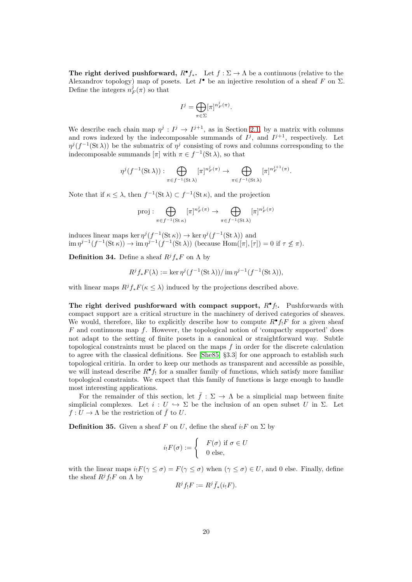The right derived pushforward,  $R^{\bullet} f_{*}$ . Let  $f : \Sigma \to \Lambda$  be a continuous (relative to the Alexandrov topology) map of posets. Let  $I^{\bullet}$  be an injective resolution of a sheaf F on  $\Sigma$ . Define the integers  $n_F^j(\pi)$  so that

$$
I^j = \bigoplus_{\pi \in \Sigma} [\pi]^{n_F^j(\pi)}.
$$

We describe each chain map  $\eta^j: I^j \to I^{j+1}$ , as in Section [2.1,](#page-5-1) by a matrix with columns and rows indexed by the indecomposable summands of  $I^j$ , and  $I^{j+1}$ , respectively. Let  $\eta^{j}(f^{-1}(\operatorname{St}\lambda))$  be the submatrix of  $\eta^{j}$  consisting of rows and columns corresponding to the indecomposable summands  $[\pi]$  with  $\pi \in f^{-1}(\mathbf{St}\lambda)$ , so that

$$
\eta^j(f^{-1}(\operatorname{St}\lambda)) : \bigoplus_{\pi \in f^{-1}(\operatorname{St}\lambda)} [\pi]^{n_F^j(\pi)} \to \bigoplus_{\pi \in f^{-1}(\operatorname{St}\lambda)} [\pi]^{n_F^{j+1}(\pi)}.
$$

Note that if  $\kappa \leq \lambda$ , then  $f^{-1}(\operatorname{St} \lambda) \subset f^{-1}(\operatorname{St} \kappa)$ , and the projection

$$
\operatorname{proj} : \bigoplus_{\pi \in f^{-1}(\operatorname{St} \kappa)} [\pi]^{n_F^j(\pi)} \to \bigoplus_{\pi \in f^{-1}(\operatorname{St} \lambda)} [\pi]^{n_F^j(\pi)}
$$

induces linear maps ker  $\eta^j(f^{-1}(\operatorname{St} \kappa)) \to \ker \eta^j(f^{-1}(\operatorname{St} \lambda))$  and  $\lim \eta^{j-1}(f^{-1}(\operatorname{St} \kappa)) \to \lim \eta^{j-1}(f^{-1}(\operatorname{St} \lambda))$  (because  $\operatorname{Hom}([\pi], [\tau]) = 0$  if  $\tau \nleq \pi$ ).

**Definition 34.** Define a sheaf  $R^j f_* F$  on  $\Lambda$  by

$$
R^jf_*F(\lambda) := \ker \eta^j(f^{-1}(\operatorname{St}\lambda))/\operatorname{im} \eta^{j-1}(f^{-1}(\operatorname{St}\lambda)),
$$

with linear maps  $R^j f_* F(\kappa \leq \lambda)$  induced by the projections described above.

The right derived pushforward with compact support,  $R^{\bullet}f$ . Pushforwards with compact support are a critical structure in the machinery of derived categories of sheaves. We would, therefore, like to explicitly describe how to compute  $R^{\bullet}f_1F$  for a given sheaf  $F$  and continuous map f. However, the topological notion of 'compactly supported' does not adapt to the setting of finite posets in a canonical or straightforward way. Subtle topological constraints must be placed on the maps f in order for the discrete calculation to agree with the classical definitions. See [\[She85,](#page-22-0) §3.3] for one approach to establish such topological critiria. In order to keep our methods as transparent and accessible as possible, we will instead describe  $R^{\bullet} f_!$  for a smaller family of functions, which satisfy more familiar topological constraints. We expect that this family of functions is large enough to handle most interesting applications.

For the remainder of this section, let  $\bar{f}: \Sigma \to \Lambda$  be a simplicial map between finite simplicial complexes. Let  $i: U \hookrightarrow \Sigma$  be the inclusion of an open subset U in  $\Sigma$ . Let  $f: U \to \Lambda$  be the restriction of  $\bar{f}$  to U.

**Definition 35.** Given a sheaf F on U, define the sheaf  $i_1F$  on  $\Sigma$  by

$$
i_!F(\sigma) := \begin{cases} & F(\sigma) \text{ if } \sigma \in U \\ & 0 \text{ else,} \end{cases}
$$

with the linear maps  $i_!F(\gamma \leq \sigma) = F(\gamma \leq \sigma)$  when  $(\gamma \leq \sigma) \in U$ , and 0 else. Finally, define the sheaf  $R^jf_!F$  on  $\Lambda$  by

$$
R^j f_! F := R^j \bar{f}_*(i_! F).
$$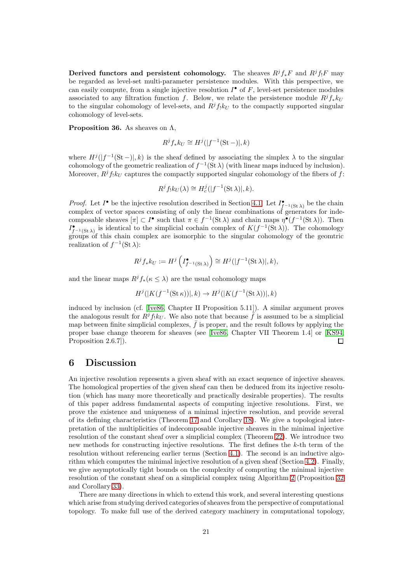Derived functors and persistent cohomology. The sheaves  $R^jf_*F$  and  $R^jf_!F$  may be regarded as level-set multi-parameter persistence modules. With this perspective, we can easily compute, from a single injective resolution  $I^{\bullet}$  of  $F$ , level-set persistence modules associated to any filtration function f. Below, we relate the persistence module  $R^j f_* k_U$ to the singular cohomology of level-sets, and  $R^j f_k k_U$  to the compactly supported singular cohomology of level-sets.

**Proposition 36.** As sheaves on  $\Lambda$ ,

$$
R^jf_*k_U \cong H^j(|f^{-1}(\mathrm{St}-)|,k)
$$

where  $H^{j}(|f^{-1}(\mathrm{St}-)|,k)$  is the sheaf defined by associating the simplex  $\lambda$  to the singular cohomology of the geometric realization of  $f^{-1}(\text{St }\lambda)$  (with linear maps induced by inclusion). Moreover,  $R^{j}f_{kU}$  captures the compactly supported singular cohomology of the fibers of f:

$$
R^{j} f_{!} k_{U}(\lambda) \cong H_{c}^{j}(|f^{-1}(\operatorname{St} \lambda)|, k).
$$

*Proof.* Let  $I^{\bullet}$  be the injective resolution described in Section [4.1.](#page-10-0) Let  $I^{\bullet}_{f^{-1}(\text{St }\lambda)}$  be the chain complex of vector spaces consisting of only the linear combinations of generators for indecomposable sheaves  $[\pi] \subset I^{\bullet}$  such that  $\pi \in f^{-1}(\mathcal{S}t \lambda)$  and chain maps  $\eta^{\bullet}(f^{-1}(\mathcal{S}t \lambda))$ . Then  $I_{f^{-1}(\text{St }\lambda)}^{\bullet}$  is identical to the simplicial cochain complex of  $K(f^{-1}(\text{St }\lambda))$ . The cohomology groups of this chain complex are isomorphic to the singular cohomology of the geomtric realization of  $f^{-1}(\operatorname{St} \lambda)$ :

$$
R^jf_*k_U:=H^j\left(I_{f^{-1}(\operatorname{St} \lambda)}^{\bullet}\right)\cong H^j(|f^{-1}(\operatorname{St} \lambda)|,k),
$$

and the linear maps  $R^jf_*(\kappa \leq \lambda)$  are the usual cohomology maps

$$
H^j(|K(f^{-1}(\operatorname{St} \kappa))|,k) \to H^j(|K(f^{-1}(\operatorname{St} \lambda))|,k)
$$

induced by inclusion (cf. [\[Ive86,](#page-21-7) Chapter II Proposition 5.11]). A similar argument proves the analogous result for  $R^j f_! k_U$ . We also note that because  $\tilde{f}$  is assumed to be a simplicial map between finite simplicial complexes,  $\bar{f}$  is proper, and the result follows by applying the proper base change theorem for sheaves (see [\[Ive86,](#page-21-7) Chapter VII Theorem 1.4] or [\[KS94,](#page-21-8) Proposition 2.6.7]).  $\Box$ 

### <span id="page-20-0"></span>6 Discussion

An injective resolution represents a given sheaf with an exact sequence of injective sheaves. The homological properties of the given sheaf can then be deduced from its injective resolution (which has many more theoretically and practically desirable properties). The results of this paper address fundamental aspects of computing injective resolutions. First, we prove the existence and uniqueness of a minimal injective resolution, and provide several of its defining characteristics (Theorem [17](#page-6-1) and Corollary [18\)](#page-8-0). We give a topological interpretation of the multiplicities of indecomposable injective sheaves in the minimal injective resolution of the constant sheaf over a simplicial complex (Theorem [22\)](#page-9-0). We introduce two new methods for constructing injective resolutions. The first defines the k-th term of the resolution without referencing earlier terms (Section [4.1\)](#page-10-0). The second is an inductive algorithm which computes the minimal injective resolution of a given sheaf (Section [4.2\)](#page-11-0). Finally, we give asymptotically tight bounds on the complexity of computing the minimal injective resolution of the constant sheaf on a simplicial complex using Algorithm [2](#page-13-0) (Proposition [32](#page-17-0) and Corollary [33\)](#page-18-1).

There are many directions in which to extend this work, and several interesting questions which arise from studying derived categories of sheaves from the perspective of computational topology. To make full use of the derived category machinery in computational topology,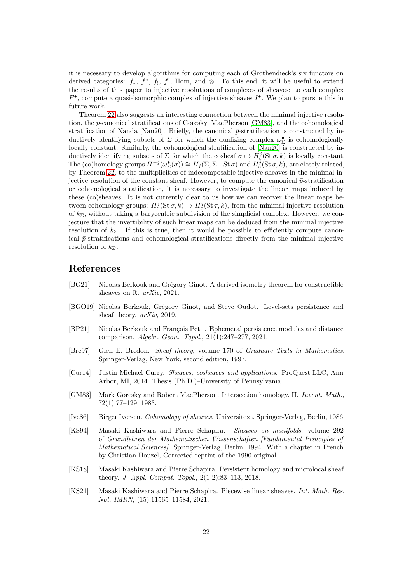it is necessary to develop algorithms for computing each of Grothendieck's six functors on derived categories:  $f_*$ ,  $f^*$ ,  $f_!$ ,  $f_!$ ,  $f_!$ , Hom, and ⊗. To this end, it will be useful to extend the results of this paper to injective resolutions of complexes of sheaves: to each complex  $F^{\bullet}$ , compute a quasi-isomorphic complex of injective sheaves  $I^{\bullet}$ . We plan to pursue this in future work.

Theorem [22](#page-9-0) also suggests an interesting connection between the minimal injective resolution, the  $\bar{p}$ -canonical stratifications of Goresky–MacPherson [\[GM83\]](#page-21-9), and the cohomological stratification of Nanda [\[Nan20\]](#page-22-2). Briefly, the canonical  $\bar{p}$ -stratification is constructed by inductively identifying subsets of  $\Sigma$  for which the dualizing complex  $\omega_{\Sigma}^{\bullet}$  is cohomologically locally constant. Similarly, the cohomological stratification of [\[Nan20\]](#page-22-2) is constructed by inductively identifying subsets of  $\Sigma$  for which the cosheaf  $\sigma \mapsto H_c^j(\text{St}\,\sigma, k)$  is locally constant. The (co)homology groups  $H^{-j}(\omega_{\Sigma}^{\bullet}(\sigma)) \cong H_j(\Sigma, \Sigma - \text{St }\sigma)$  and  $H_c^j(\text{St }\sigma, k)$ , are closely related, by Theorem [22,](#page-9-0) to the multiplicities of indecomposable injective sheaves in the minimal injective resolution of the constant sheaf. However, to compute the canonical  $\bar{p}$ -stratification or cohomological stratification, it is necessary to investigate the linear maps induced by these (co)sheaves. It is not currently clear to us how we can recover the linear maps between cohomology groups:  $H_c^j(\text{St } \sigma, k) \to H_c^j(\text{St } \tau, k)$ , from the minimal injective resolution of  $k_{\Sigma}$ , without taking a barycentric subdivision of the simplicial complex. However, we conjecture that the invertibility of such linear maps can be deduced from the minimal injective resolution of  $k_{\Sigma}$ . If this is true, then it would be possible to efficiently compute canonical  $\bar{p}$ -stratifications and cohomological stratifications directly from the minimal injective resolution of  $k_{\Sigma}$ .

# References

- <span id="page-21-0"></span>[BG21] Nicolas Berkouk and Grégory Ginot. A derived isometry theorem for constructible sheaves on R. arXiv, 2021.
- <span id="page-21-1"></span>[BGO19] Nicolas Berkouk, Grégory Ginot, and Steve Oudot. Level-sets persistence and sheaf theory. arXiv, 2019.
- <span id="page-21-2"></span>[BP21] Nicolas Berkouk and François Petit. Ephemeral persistence modules and distance comparison. Algebr. Geom. Topol., 21(1):247–277, 2021.
- <span id="page-21-6"></span>[Bre97] Glen E. Bredon. Sheaf theory, volume 170 of Graduate Texts in Mathematics. Springer-Verlag, New York, second edition, 1997.
- <span id="page-21-3"></span>[Cur14] Justin Michael Curry. Sheaves, cosheaves and applications. ProQuest LLC, Ann Arbor, MI, 2014. Thesis (Ph.D.)–University of Pennsylvania.
- <span id="page-21-9"></span>[GM83] Mark Goresky and Robert MacPherson. Intersection homology. II. Invent. Math., 72(1):77–129, 1983.
- <span id="page-21-7"></span>[Ive86] Birger Iversen. Cohomology of sheaves. Universitext. Springer-Verlag, Berlin, 1986.
- <span id="page-21-8"></span>[KS94] Masaki Kashiwara and Pierre Schapira. Sheaves on manifolds, volume 292 of Grundlehren der Mathematischen Wissenschaften [Fundamental Principles of Mathematical Sciences]. Springer-Verlag, Berlin, 1994. With a chapter in French by Christian Houzel, Corrected reprint of the 1990 original.
- <span id="page-21-4"></span>[KS18] Masaki Kashiwara and Pierre Schapira. Persistent homology and microlocal sheaf theory. J. Appl. Comput. Topol., 2(1-2):83–113, 2018.
- <span id="page-21-5"></span>[KS21] Masaki Kashiwara and Pierre Schapira. Piecewise linear sheaves. Int. Math. Res. Not. IMRN, (15):11565–11584, 2021.